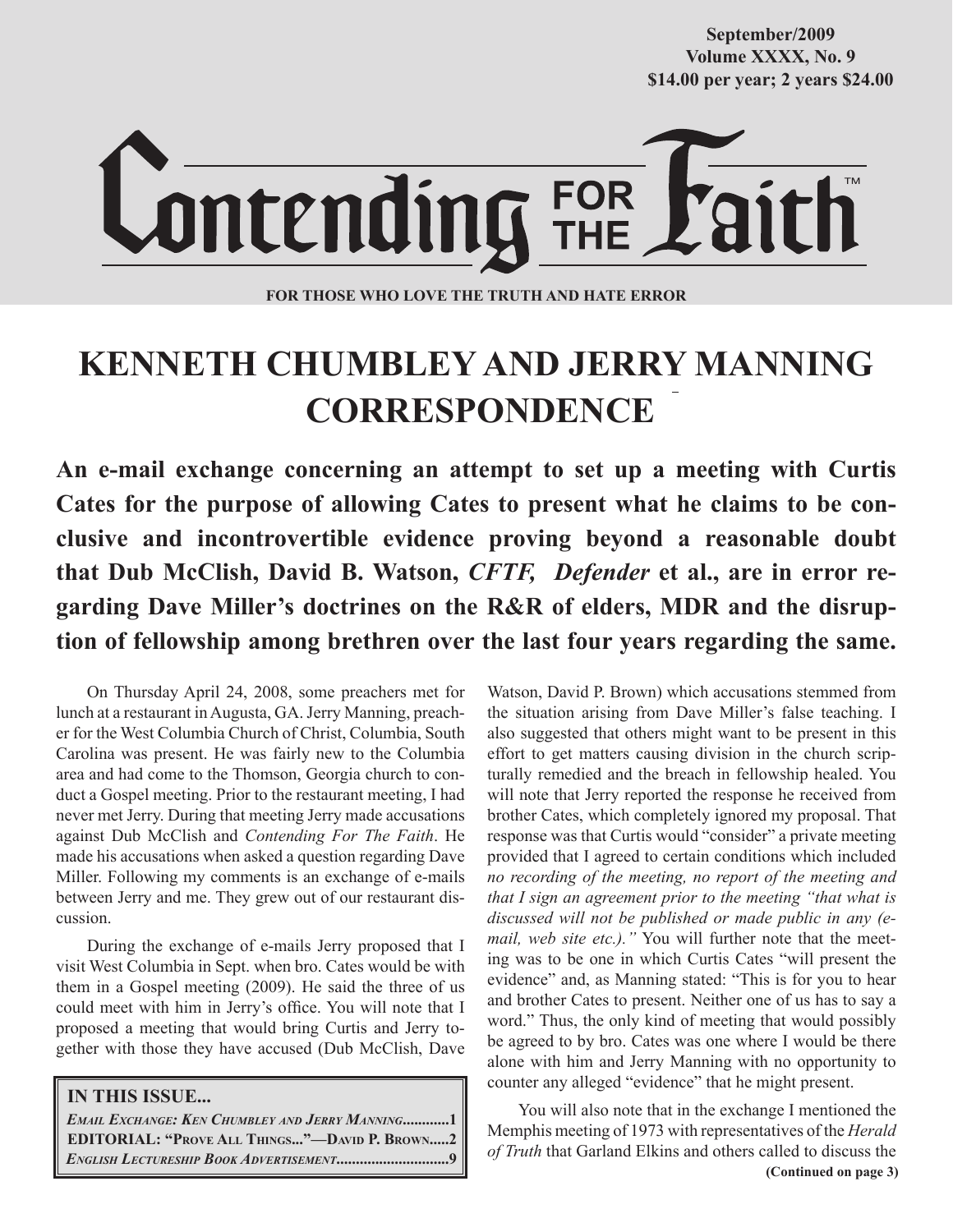**Volume XXXX, No. 9 Volume XXXVIII, No. 10 \$14.00 per year; 2 years \$24.00 \$14.00 per year; 2 years \$24.00 September/2009**



**FOR THOSE WHO LOVE THE TRUTH AND HATE ERROR**

# **KENNETH CHUMBLEY AND JERRY MANNING CORRESPONDENCE**

**An e-mail exchange concerning an attempt to set up a meeting with Curtis Cates for the purpose of allowing Cates to present what he claims to be conclusive and incontrovertible evidence proving beyond a reasonable doubt that Dub McClish, David B. Watson,** *CFTF, Defender* **et al., are in error regarding Dave Miller's doctrines on the R&R of elders, MDR and the disruption of fellowship among brethren over the last four years regarding the same.** 

On Thursday April 24, 2008, some preachers met for lunch at a restaurant in Augusta, GA. Jerry Manning, preacher for the West Columbia Church of Christ, Columbia, South Carolina was present. He was fairly new to the Columbia area and had come to the Thomson, Georgia church to conduct a Gospel meeting. Prior to the restaurant meeting, I had never met Jerry. During that meeting Jerry made accusations against Dub McClish and *Contending For The Faith*. He made his accusations when asked a question regarding Dave Miller. Following my comments is an exchange of e-mails between Jerry and me. They grew out of our restaurant discussion.

During the exchange of e-mails Jerry proposed that I visit West Columbia in Sept. when bro. Cates would be with them in a Gospel meeting (2009). He said the three of us could meet with him in Jerry's office. You will note that I proposed a meeting that would bring Curtis and Jerry together with those they have accused (Dub McClish, Dave

## **IN THIS ISSUE...**

 *EMAIL EXCHANGE: KEN CHUMBLEY AND JERRY MANNING***............1 EDITORIAL: "PROVE ALL THINGS..."—DAVID P. BROWN.....2** *ENGLISH LECTURESHIP BOOK ADVERTISEMENT***.............................9**

Watson, David P. Brown) which accusations stemmed from the situation arising from Dave Miller's false teaching. I also suggested that others might want to be present in this effort to get matters causing division in the church scripturally remedied and the breach in fellowship healed. You will note that Jerry reported the response he received from brother Cates, which completely ignored my proposal. That response was that Curtis would "consider" a private meeting provided that I agreed to certain conditions which included *no recording of the meeting, no report of the meeting and that I sign an agreement prior to the meeting "that what is discussed will not be published or made public in any (email, web site etc.)."* You will further note that the meeting was to be one in which Curtis Cates "will present the evidence" and, as Manning stated: "This is for you to hear and brother Cates to present. Neither one of us has to say a word." Thus, the only kind of meeting that would possibly be agreed to by bro. Cates was one where I would be there alone with him and Jerry Manning with no opportunity to counter any alleged "evidence" that he might present.

 **(Continued on page 3)** You will also note that in the exchange I mentioned the Memphis meeting of 1973 with representatives of the *Herald of Truth* that Garland Elkins and others called to discuss the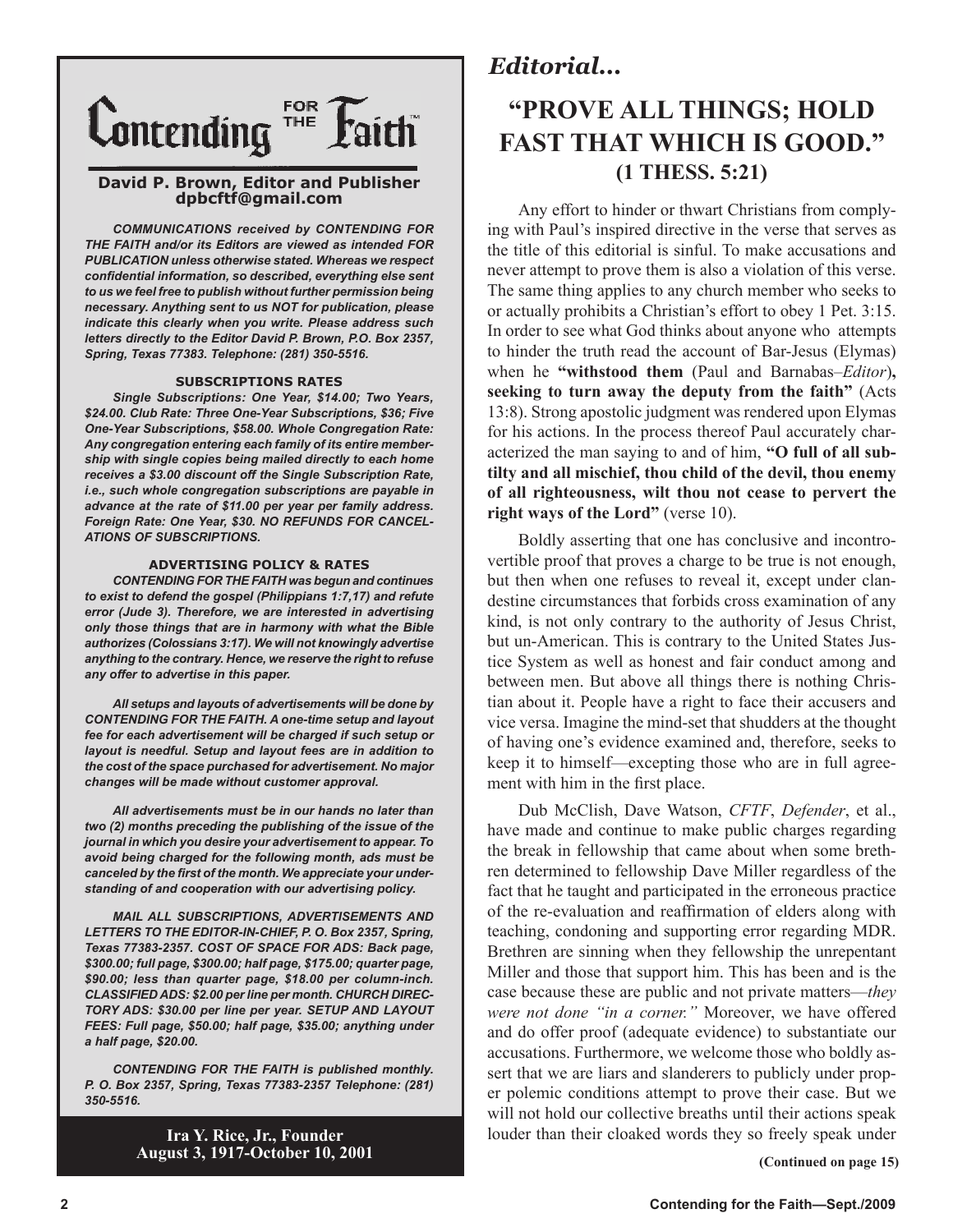

### **David P. Brown, Editor and Publisher dpbcftf@gmail.com**

*COMMUNICATIONS received by CONTENDING FOR THE FAITH and/or its Editors are viewed as intended FOR PUBLICATION unless otherwise stated. Whereas we respect confidential information, so described, everything else sent to us we feel free to publish without further permission being necessary. Anything sent to us NOT for publication, please indicate this clearly when you write. Please address such letters directly to the Editor David P. Brown, P.O. Box 2357, Spring, Texas 77383. Telephone: (281) 350-5516.*

### **SUBSCRIPTIONS RATES**

*Single Subscriptions: One Year, \$14.00; Two Years, \$24.00. Club Rate: Three One-Year Subscriptions, \$36; Five One-Year Subscriptions, \$58.00. Whole Congregation Rate: Any congregation entering each family of its entire membership with single copies being mailed directly to each home receives a \$3.00 discount off the Single Subscription Rate, i.e., such whole congregation subscriptions are payable in advance at the rate of \$11.00 per year per family address. Foreign Rate: One Year, \$30. NO REFUNDS FOR CANCEL-ATIONS OF SUBSCRIPTIONS.*

### **ADVERTISING POLICY & RATES**

*CONTENDING FOR THE FAITH was begun and continues to exist to defend the gospel (Philippians 1:7,17) and refute error (Jude 3). Therefore, we are interested in advertising only those things that are in harmony with what the Bible authorizes (Colossians 3:17). We will not knowingly advertise anything to the contrary. Hence, we reserve the right to refuse any offer to advertise in this paper.*

*All setups and layouts of advertisements will be done by CONTENDING FOR THE FAITH. A one-time setup and layout fee for each advertisement will be charged if such setup or layout is needful. Setup and layout fees are in addition to the cost of the space purchased for advertisement. No major changes will be made without customer approval.*

*All advertisements must be in our hands no later than two (2) months preceding the publishing of the issue of the journal in which you desire your advertisement to appear. To avoid being charged for the following month, ads must be canceled by the first of the month. We appreciate your understanding of and cooperation with our advertising policy.*

*MAIL ALL SUBSCRIPTIONS, ADVERTISEMENTS AND LETTERS TO THE EDITOR-IN-CHIEF, P. O. Box 2357, Spring, Texas 77383-2357. COST OF SPACE FOR ADS: Back page, \$300.00; full page, \$300.00; half page, \$175.00; quarter page, \$90.00; less than quarter page, \$18.00 per column-inch. CLASSIFIED ADS: \$2.00 per line per month. CHURCH DIREC-TORY ADS: \$30.00 per line per year. SETUP AND LAYOUT FEES: Full page, \$50.00; half page, \$35.00; anything under a half page, \$20.00.*

*CONTENDING FOR THE FAITH is published monthly. P. O. Box 2357, Spring, Texas 77383-2357 Telephone: (281) 350-5516.*

> **Ira Y. Rice, Jr., Founder August 3, 1917-October 10, 2001**

## *Editorial...*

## **"PROVE ALL THINGS; HOLD FAST THAT WHICH IS GOOD." (1 THESS. 5:21)**

Any effort to hinder or thwart Christians from complying with Paul's inspired directive in the verse that serves as the title of this editorial is sinful. To make accusations and never attempt to prove them is also a violation of this verse. The same thing applies to any church member who seeks to or actually prohibits a Christian's effort to obey 1 Pet. 3:15. In order to see what God thinks about anyone who attempts to hinder the truth read the account of Bar-Jesus (Elymas) when he **"withstood them** (Paul and Barnabas–*Editor*)**, seeking to turn away the deputy from the faith"** (Acts 13:8). Strong apostolic judgment was rendered upon Elymas for his actions. In the process thereof Paul accurately characterized the man saying to and of him, **"O full of all subtilty and all mischief, thou child of the devil, thou enemy of all righteousness, wilt thou not cease to pervert the right ways of the Lord"** (verse 10).

Boldly asserting that one has conclusive and incontrovertible proof that proves a charge to be true is not enough, but then when one refuses to reveal it, except under clandestine circumstances that forbids cross examination of any kind, is not only contrary to the authority of Jesus Christ, but un-American. This is contrary to the United States Justice System as well as honest and fair conduct among and between men. But above all things there is nothing Christian about it. People have a right to face their accusers and vice versa. Imagine the mind-set that shudders at the thought of having one's evidence examined and, therefore, seeks to keep it to himself—excepting those who are in full agreement with him in the first place.

Dub McClish, Dave Watson, *CFTF*, *Defender*, et al., have made and continue to make public charges regarding the break in fellowship that came about when some brethren determined to fellowship Dave Miller regardless of the fact that he taught and participated in the erroneous practice of the re-evaluation and reaffirmation of elders along with teaching, condoning and supporting error regarding MDR. Brethren are sinning when they fellowship the unrepentant Miller and those that support him. This has been and is the case because these are public and not private matters—*they were not done "in a corner."* Moreover, we have offered and do offer proof (adequate evidence) to substantiate our accusations. Furthermore, we welcome those who boldly assert that we are liars and slanderers to publicly under proper polemic conditions attempt to prove their case. But we will not hold our collective breaths until their actions speak louder than their cloaked words they so freely speak under

 **(Continued on page 15)**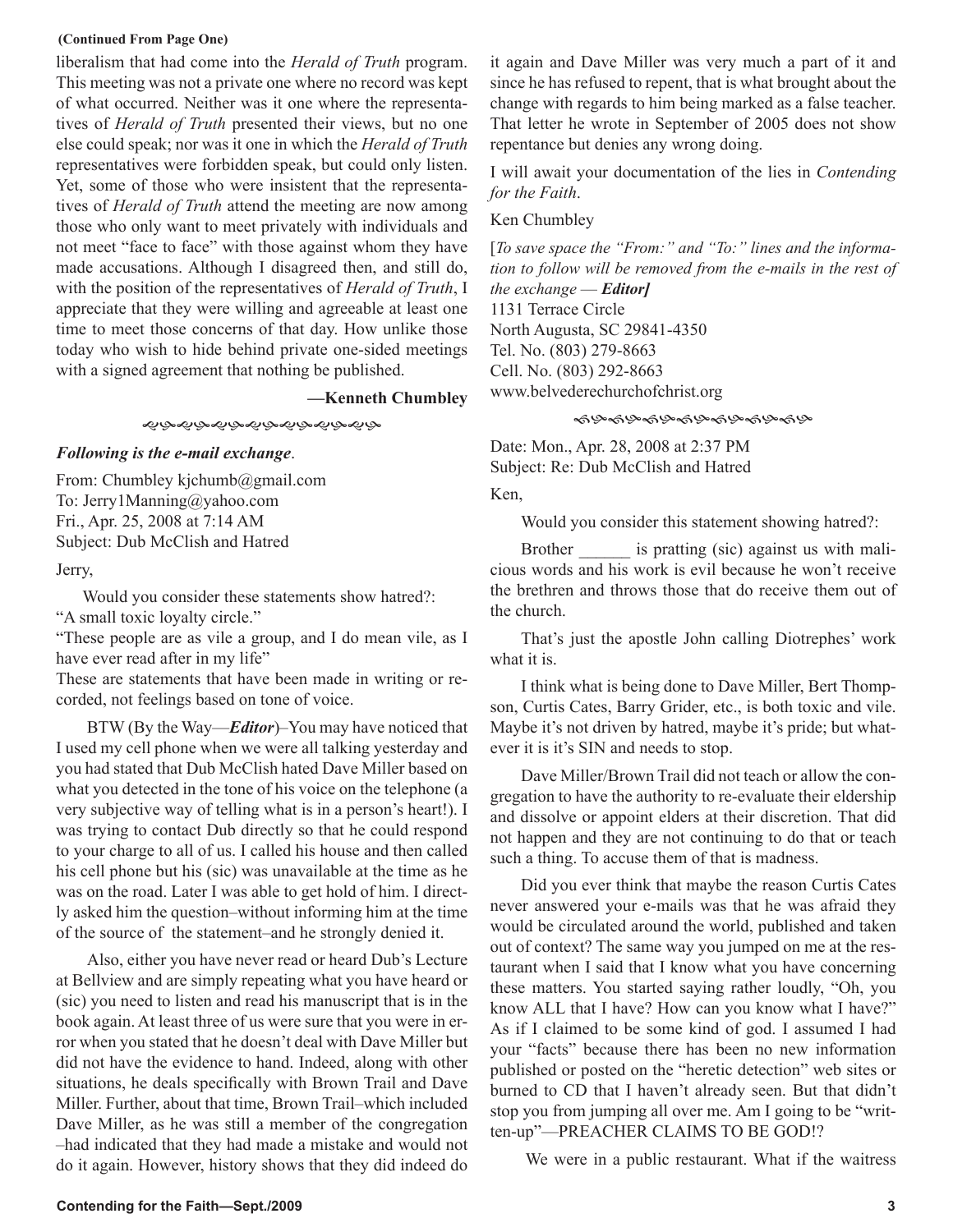### **(Continued From Page One)**

liberalism that had come into the *Herald of Truth* program. This meeting was not a private one where no record was kept of what occurred. Neither was it one where the representatives of *Herald of Truth* presented their views, but no one else could speak; nor was it one in which the *Herald of Truth* representatives were forbidden speak, but could only listen. Yet, some of those who were insistent that the representatives of *Herald of Truth* attend the meeting are now among those who only want to meet privately with individuals and not meet "face to face" with those against whom they have made accusations. Although I disagreed then, and still do, with the position of the representatives of *Herald of Truth*, I appreciate that they were willing and agreeable at least one time to meet those concerns of that day. How unlike those today who wish to hide behind private one-sided meetings with a signed agreement that nothing be published.

**—Kenneth Chumbley** 

### ৼ৾ড়ড়ড়ড়ড়ড়ড়ড়ড়ড়ড়ড়ড়

### *Following is the e-mail exchange*.

From: Chumbley kjchumb@gmail.com To: Jerry1Manning@yahoo.com Fri., Apr. 25, 2008 at 7:14 AM Subject: Dub McClish and Hatred

### Jerry,

Would you consider these statements show hatred?: "A small toxic loyalty circle."

"These people are as vile a group, and I do mean vile, as I have ever read after in my life"

These are statements that have been made in writing or recorded, not feelings based on tone of voice.

BTW (By the Way—*Editor*)–You may have noticed that I used my cell phone when we were all talking yesterday and you had stated that Dub McClish hated Dave Miller based on what you detected in the tone of his voice on the telephone (a very subjective way of telling what is in a person's heart!). I was trying to contact Dub directly so that he could respond to your charge to all of us. I called his house and then called his cell phone but his (sic) was unavailable at the time as he was on the road. Later I was able to get hold of him. I directly asked him the question–without informing him at the time of the source of the statement–and he strongly denied it.

Also, either you have never read or heard Dub's Lecture at Bellview and are simply repeating what you have heard or (sic) you need to listen and read his manuscript that is in the book again. At least three of us were sure that you were in error when you stated that he doesn't deal with Dave Miller but did not have the evidence to hand. Indeed, along with other situations, he deals specifically with Brown Trail and Dave Miller. Further, about that time, Brown Trail–which included Dave Miller, as he was still a member of the congregation –had indicated that they had made a mistake and would not do it again. However, history shows that they did indeed do it again and Dave Miller was very much a part of it and since he has refused to repent, that is what brought about the change with regards to him being marked as a false teacher. That letter he wrote in September of 2005 does not show repentance but denies any wrong doing.

I will await your documentation of the lies in *Contending for the Faith*.

### Ken Chumbley

[*To save space the "From:" and "To:" lines and the information to follow will be removed from the e-mails in the rest of the exchange* — *Editor]* 1131 Terrace Circle North Augusta, SC 29841-4350 Tel. No. (803) 279-8663 Cell. No. (803) 292-8663 www.belvederechurchofchrist.org

### ৼঀড়৽ঀড়৽ঀড়৽ঀড়৽ঀড়৽ঀড়

Date: Mon., Apr. 28, 2008 at 2:37 PM Subject: Re: Dub McClish and Hatred

Ken,

Would you consider this statement showing hatred?:

Brother \_\_\_\_\_\_ is pratting (sic) against us with malicious words and his work is evil because he won't receive the brethren and throws those that do receive them out of the church.

That's just the apostle John calling Diotrephes' work what it is.

I think what is being done to Dave Miller, Bert Thompson, Curtis Cates, Barry Grider, etc., is both toxic and vile. Maybe it's not driven by hatred, maybe it's pride; but whatever it is it's SIN and needs to stop.

Dave Miller/Brown Trail did not teach or allow the congregation to have the authority to re-evaluate their eldership and dissolve or appoint elders at their discretion. That did not happen and they are not continuing to do that or teach such a thing. To accuse them of that is madness.

Did you ever think that maybe the reason Curtis Cates never answered your e-mails was that he was afraid they would be circulated around the world, published and taken out of context? The same way you jumped on me at the restaurant when I said that I know what you have concerning these matters. You started saying rather loudly, "Oh, you know ALL that I have? How can you know what I have?" As if I claimed to be some kind of god. I assumed I had your "facts" because there has been no new information published or posted on the "heretic detection" web sites or burned to CD that I haven't already seen. But that didn't stop you from jumping all over me. Am I going to be "written-up"—PREACHER CLAIMS TO BE GOD!?

We were in a public restaurant. What if the waitress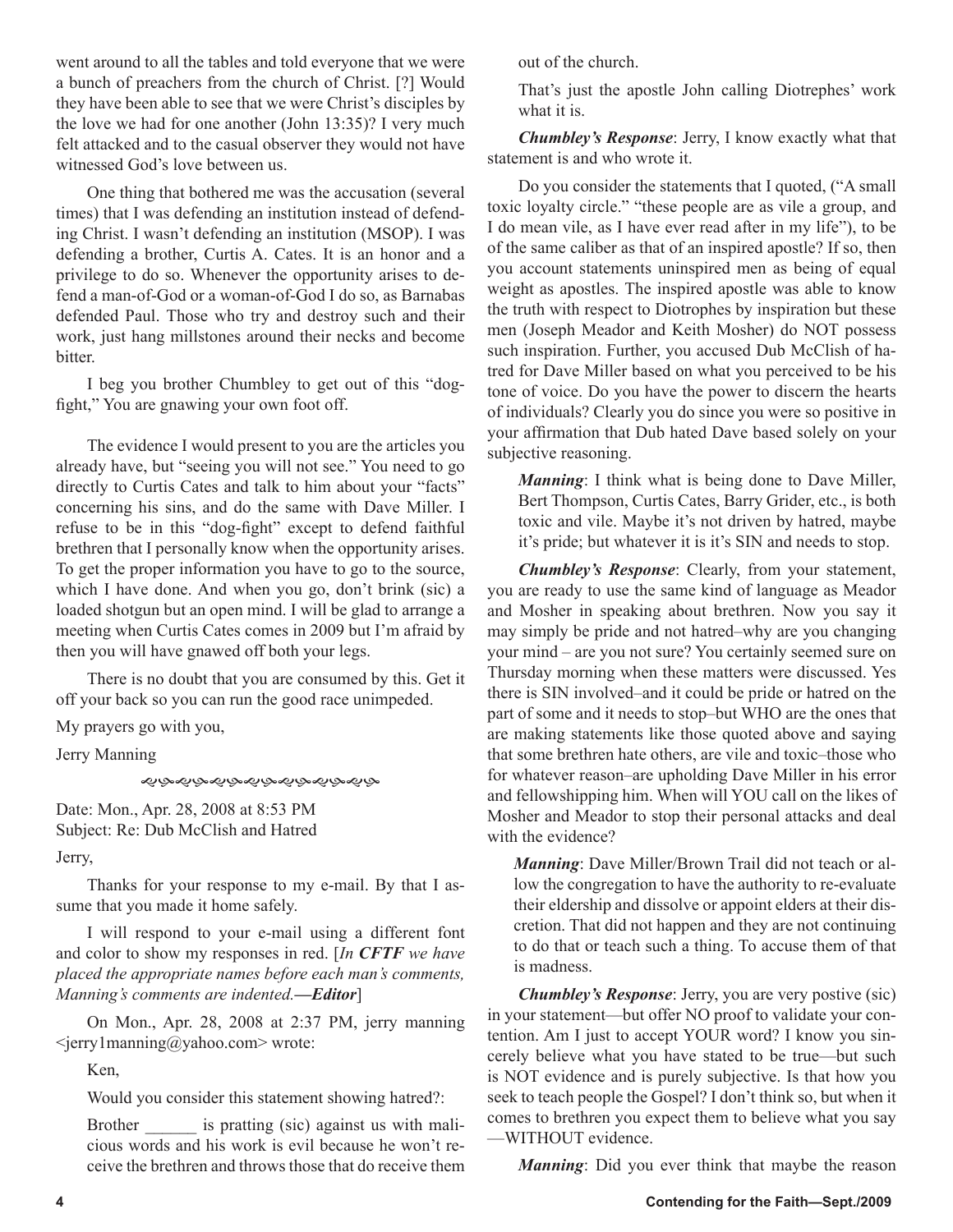went around to all the tables and told everyone that we were a bunch of preachers from the church of Christ. [?] Would they have been able to see that we were Christ's disciples by the love we had for one another (John 13:35)? I very much felt attacked and to the casual observer they would not have witnessed God's love between us.

One thing that bothered me was the accusation (several times) that I was defending an institution instead of defending Christ. I wasn't defending an institution (MSOP). I was defending a brother, Curtis A. Cates. It is an honor and a privilege to do so. Whenever the opportunity arises to defend a man-of-God or a woman-of-God I do so, as Barnabas defended Paul. Those who try and destroy such and their work, just hang millstones around their necks and become bitter.

I beg you brother Chumbley to get out of this "dogfight," You are gnawing your own foot off.

The evidence I would present to you are the articles you already have, but "seeing you will not see." You need to go directly to Curtis Cates and talk to him about your "facts" concerning his sins, and do the same with Dave Miller. I refuse to be in this "dog-fight" except to defend faithful brethren that I personally know when the opportunity arises. To get the proper information you have to go to the source, which I have done. And when you go, don't brink (sic) a loaded shotgun but an open mind. I will be glad to arrange a meeting when Curtis Cates comes in 2009 but I'm afraid by then you will have gnawed off both your legs.

There is no doubt that you are consumed by this. Get it off your back so you can run the good race unimpeded.

My prayers go with you,

Jerry Manning

### *෯෯෯෯෯෯෯෯෯෯෯෯*

Date: Mon., Apr. 28, 2008 at 8:53 PM Subject: Re: Dub McClish and Hatred

Jerry,

Thanks for your response to my e-mail. By that I assume that you made it home safely.

I will respond to your e-mail using a different font and color to show my responses in red. [*In CFTF we have placed the appropriate names before each man's comments, Manning's comments are indented.—Editor*]

On Mon., Apr. 28, 2008 at 2:37 PM, jerry manning <jerry1manning@yahoo.com> wrote:

Ken,

Would you consider this statement showing hatred?:

Brother is pratting (sic) against us with malicious words and his work is evil because he won't receive the brethren and throws those that do receive them out of the church.

That's just the apostle John calling Diotrephes' work what it is.

*Chumbley's Response*: Jerry, I know exactly what that statement is and who wrote it.

Do you consider the statements that I quoted, ("A small toxic loyalty circle." "these people are as vile a group, and I do mean vile, as I have ever read after in my life"), to be of the same caliber as that of an inspired apostle? If so, then you account statements uninspired men as being of equal weight as apostles. The inspired apostle was able to know the truth with respect to Diotrophes by inspiration but these men (Joseph Meador and Keith Mosher) do NOT possess such inspiration. Further, you accused Dub McClish of hatred for Dave Miller based on what you perceived to be his tone of voice. Do you have the power to discern the hearts of individuals? Clearly you do since you were so positive in your affirmation that Dub hated Dave based solely on your subjective reasoning.

*Manning*: I think what is being done to Dave Miller, Bert Thompson, Curtis Cates, Barry Grider, etc., is both toxic and vile. Maybe it's not driven by hatred, maybe it's pride; but whatever it is it's SIN and needs to stop.

*Chumbley's Response*: Clearly, from your statement, you are ready to use the same kind of language as Meador and Mosher in speaking about brethren. Now you say it may simply be pride and not hatred–why are you changing your mind – are you not sure? You certainly seemed sure on Thursday morning when these matters were discussed. Yes there is SIN involved–and it could be pride or hatred on the part of some and it needs to stop–but WHO are the ones that are making statements like those quoted above and saying that some brethren hate others, are vile and toxic–those who for whatever reason–are upholding Dave Miller in his error and fellowshipping him. When will YOU call on the likes of Mosher and Meador to stop their personal attacks and deal with the evidence?

*Manning*: Dave Miller/Brown Trail did not teach or allow the congregation to have the authority to re-evaluate their eldership and dissolve or appoint elders at their discretion. That did not happen and they are not continuing to do that or teach such a thing. To accuse them of that is madness.

*Chumbley's Response*: Jerry, you are very postive (sic) in your statement—but offer NO proof to validate your contention. Am I just to accept YOUR word? I know you sincerely believe what you have stated to be true—but such is NOT evidence and is purely subjective. Is that how you seek to teach people the Gospel? I don't think so, but when it comes to brethren you expect them to believe what you say —WITHOUT evidence.

*Manning*: Did you ever think that maybe the reason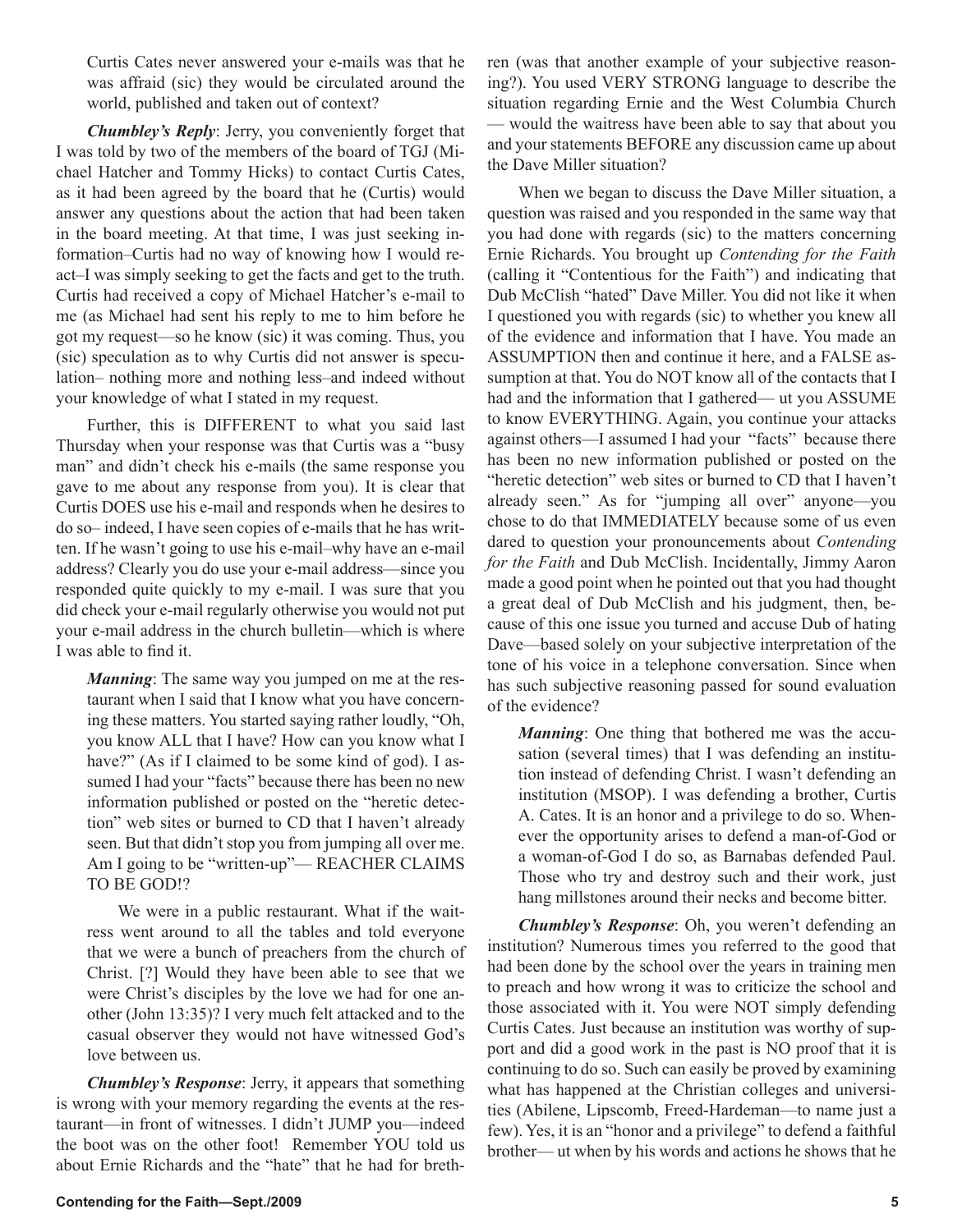Curtis Cates never answered your e-mails was that he was affraid (sic) they would be circulated around the world, published and taken out of context?

*Chumbley's Reply*: Jerry, you conveniently forget that I was told by two of the members of the board of TGJ (Michael Hatcher and Tommy Hicks) to contact Curtis Cates, as it had been agreed by the board that he (Curtis) would answer any questions about the action that had been taken in the board meeting. At that time, I was just seeking information–Curtis had no way of knowing how I would react–I was simply seeking to get the facts and get to the truth. Curtis had received a copy of Michael Hatcher's e-mail to me (as Michael had sent his reply to me to him before he got my request—so he know (sic) it was coming. Thus, you (sic) speculation as to why Curtis did not answer is speculation– nothing more and nothing less–and indeed without your knowledge of what I stated in my request.

Further, this is DIFFERENT to what you said last Thursday when your response was that Curtis was a "busy man" and didn't check his e-mails (the same response you gave to me about any response from you). It is clear that Curtis DOES use his e-mail and responds when he desires to do so– indeed, I have seen copies of e-mails that he has written. If he wasn't going to use his e-mail–why have an e-mail address? Clearly you do use your e-mail address—since you responded quite quickly to my e-mail. I was sure that you did check your e-mail regularly otherwise you would not put your e-mail address in the church bulletin—which is where I was able to find it.

*Manning*: The same way you jumped on me at the restaurant when I said that I know what you have concerning these matters. You started saying rather loudly, "Oh, you know ALL that I have? How can you know what I have?" (As if I claimed to be some kind of god). I assumed I had your "facts" because there has been no new information published or posted on the "heretic detection" web sites or burned to CD that I haven't already seen. But that didn't stop you from jumping all over me. Am I going to be "written-up"— REACHER CLAIMS TO BE GOD!?

We were in a public restaurant. What if the waitress went around to all the tables and told everyone that we were a bunch of preachers from the church of Christ. [?] Would they have been able to see that we were Christ's disciples by the love we had for one another (John 13:35)? I very much felt attacked and to the casual observer they would not have witnessed God's love between us.

*Chumbley's Response*: Jerry, it appears that something is wrong with your memory regarding the events at the restaurant—in front of witnesses. I didn't JUMP you—indeed the boot was on the other foot! Remember YOU told us about Ernie Richards and the "hate" that he had for breth-

situation regarding Ernie and the West Columbia Church — would the waitress have been able to say that about you and your statements BEFORE any discussion came up about the Dave Miller situation? When we began to discuss the Dave Miller situation, a question was raised and you responded in the same way that

you had done with regards (sic) to the matters concerning Ernie Richards. You brought up *Contending for the Faith* (calling it "Contentious for the Faith") and indicating that Dub McClish "hated" Dave Miller. You did not like it when I questioned you with regards (sic) to whether you knew all of the evidence and information that I have. You made an ASSUMPTION then and continue it here, and a FALSE assumption at that. You do NOT know all of the contacts that I had and the information that I gathered— ut you ASSUME to know EVERYTHING. Again, you continue your attacks against others—I assumed I had your "facts" because there has been no new information published or posted on the "heretic detection" web sites or burned to CD that I haven't already seen." As for "jumping all over" anyone—you chose to do that IMMEDIATELY because some of us even dared to question your pronouncements about *Contending for the Faith* and Dub McClish. Incidentally, Jimmy Aaron made a good point when he pointed out that you had thought a great deal of Dub McClish and his judgment, then, because of this one issue you turned and accuse Dub of hating Dave—based solely on your subjective interpretation of the tone of his voice in a telephone conversation. Since when has such subjective reasoning passed for sound evaluation of the evidence?

ren (was that another example of your subjective reasoning?). You used VERY STRONG language to describe the

*Manning*: One thing that bothered me was the accusation (several times) that I was defending an institution instead of defending Christ. I wasn't defending an institution (MSOP). I was defending a brother, Curtis A. Cates. It is an honor and a privilege to do so. Whenever the opportunity arises to defend a man-of-God or a woman-of-God I do so, as Barnabas defended Paul. Those who try and destroy such and their work, just hang millstones around their necks and become bitter.

*Chumbley's Response*: Oh, you weren't defending an institution? Numerous times you referred to the good that had been done by the school over the years in training men to preach and how wrong it was to criticize the school and those associated with it. You were NOT simply defending Curtis Cates. Just because an institution was worthy of support and did a good work in the past is NO proof that it is continuing to do so. Such can easily be proved by examining what has happened at the Christian colleges and universities (Abilene, Lipscomb, Freed-Hardeman—to name just a few). Yes, it is an "honor and a privilege" to defend a faithful brother— ut when by his words and actions he shows that he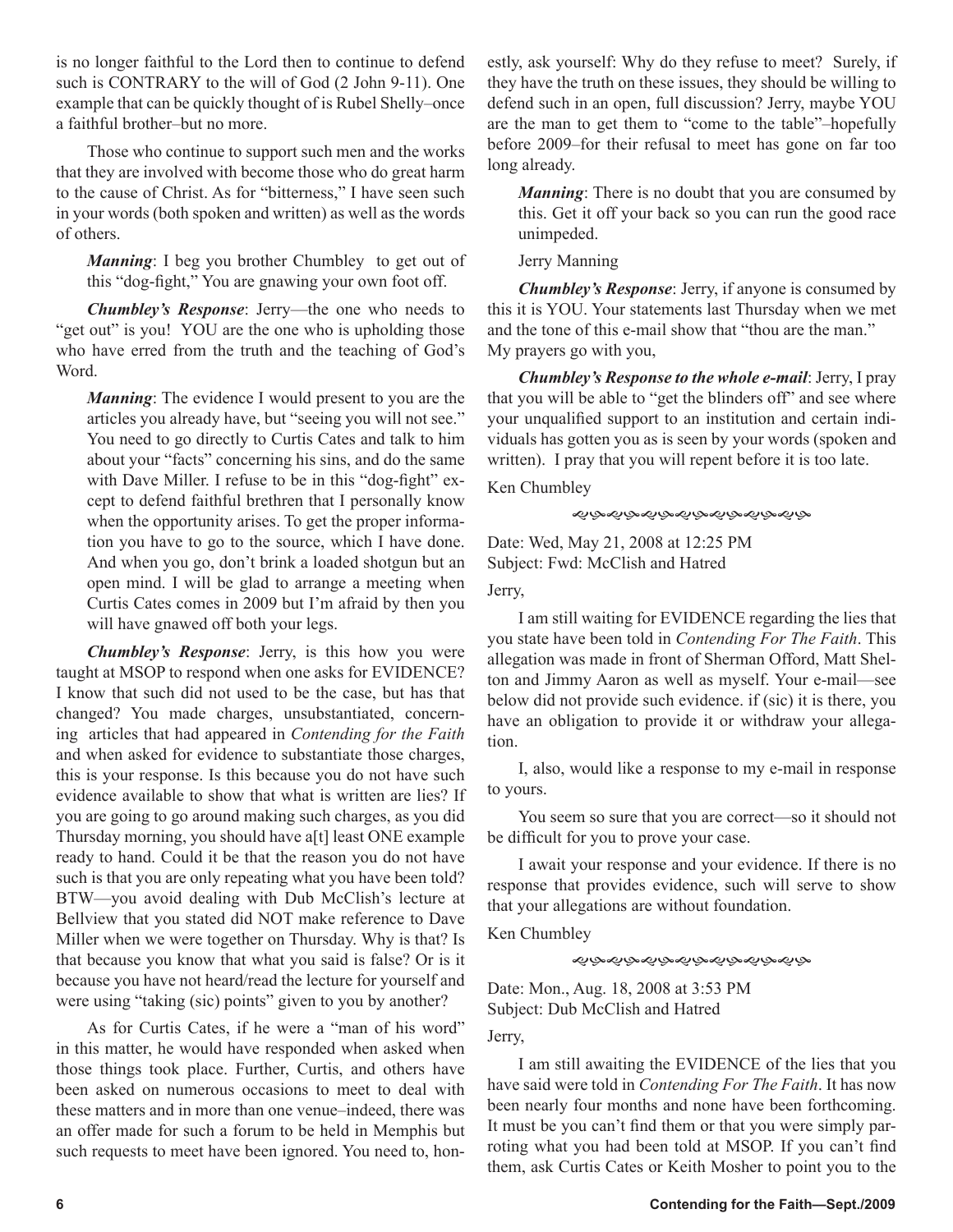is no longer faithful to the Lord then to continue to defend such is CONTRARY to the will of God (2 John 9-11). One example that can be quickly thought of is Rubel Shelly–once a faithful brother–but no more.

Those who continue to support such men and the works that they are involved with become those who do great harm to the cause of Christ. As for "bitterness," I have seen such in your words (both spoken and written) as well as the words of others.

*Manning*: I beg you brother Chumbley to get out of this "dog-fight," You are gnawing your own foot off.

*Chumbley's Response*: Jerry—the one who needs to "get out" is you! YOU are the one who is upholding those who have erred from the truth and the teaching of God's Word.

*Manning*: The evidence I would present to you are the articles you already have, but "seeing you will not see." You need to go directly to Curtis Cates and talk to him about your "facts" concerning his sins, and do the same with Dave Miller. I refuse to be in this "dog-fight" except to defend faithful brethren that I personally know when the opportunity arises. To get the proper information you have to go to the source, which I have done. And when you go, don't brink a loaded shotgun but an open mind. I will be glad to arrange a meeting when Curtis Cates comes in 2009 but I'm afraid by then you will have gnawed off both your legs.

*Chumbley's Response*: Jerry, is this how you were taught at MSOP to respond when one asks for EVIDENCE? I know that such did not used to be the case, but has that changed? You made charges, unsubstantiated, concerning articles that had appeared in *Contending for the Faith*  and when asked for evidence to substantiate those charges, this is your response. Is this because you do not have such evidence available to show that what is written are lies? If you are going to go around making such charges, as you did Thursday morning, you should have a[t] least ONE example ready to hand. Could it be that the reason you do not have such is that you are only repeating what you have been told? BTW—you avoid dealing with Dub McClish's lecture at Bellview that you stated did NOT make reference to Dave Miller when we were together on Thursday. Why is that? Is that because you know that what you said is false? Or is it because you have not heard/read the lecture for yourself and were using "taking (sic) points" given to you by another?

As for Curtis Cates, if he were a "man of his word" in this matter, he would have responded when asked when those things took place. Further, Curtis, and others have been asked on numerous occasions to meet to deal with these matters and in more than one venue–indeed, there was an offer made for such a forum to be held in Memphis but such requests to meet have been ignored. You need to, honestly, ask yourself: Why do they refuse to meet? Surely, if they have the truth on these issues, they should be willing to defend such in an open, full discussion? Jerry, maybe YOU are the man to get them to "come to the table"–hopefully before 2009–for their refusal to meet has gone on far too long already.

*Manning*: There is no doubt that you are consumed by this. Get it off your back so you can run the good race unimpeded.

### Jerry Manning

*Chumbley's Response*: Jerry, if anyone is consumed by this it is YOU. Your statements last Thursday when we met and the tone of this e-mail show that "thou are the man." My prayers go with you,

*Chumbley's Response to the whole e-mail*: Jerry, I pray that you will be able to "get the blinders off" and see where your unqualified support to an institution and certain individuals has gotten you as is seen by your words (spoken and written). I pray that you will repent before it is too late.

Ken Chumbley

### ෯෯෯෯෯෯෯෯෯෯෯෯

Date: Wed, May 21, 2008 at 12:25 PM Subject: Fwd: McClish and Hatred

Jerry,

I am still waiting for EVIDENCE regarding the lies that you state have been told in *Contending For The Faith*. This allegation was made in front of Sherman Offord, Matt Shelton and Jimmy Aaron as well as myself. Your e-mail—see below did not provide such evidence. if (sic) it is there, you have an obligation to provide it or withdraw your allegation.

I, also, would like a response to my e-mail in response to yours.

You seem so sure that you are correct—so it should not be difficult for you to prove your case.

I await your response and your evidence. If there is no response that provides evidence, such will serve to show that your allegations are without foundation.

Ken Chumbley

きぶんぷかんぷかんぷうかんぷ

Date: Mon., Aug. 18, 2008 at 3:53 PM Subject: Dub McClish and Hatred

Jerry,

I am still awaiting the EVIDENCE of the lies that you have said were told in *Contending For The Faith*. It has now been nearly four months and none have been forthcoming. It must be you can't find them or that you were simply parroting what you had been told at MSOP. If you can't find them, ask Curtis Cates or Keith Mosher to point you to the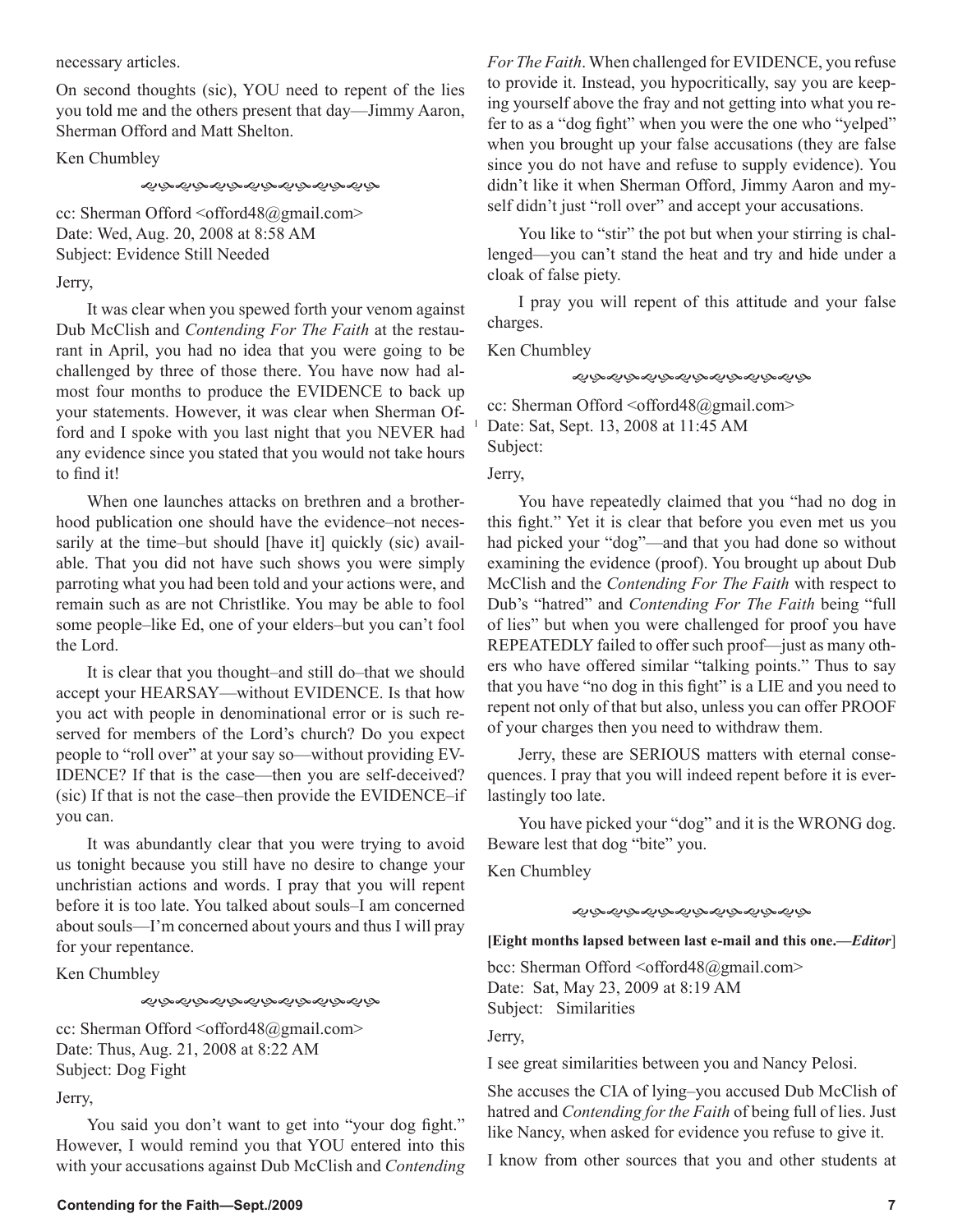necessary articles.

On second thoughts (sic), YOU need to repent of the lies you told me and the others present that day—Jimmy Aaron, Sherman Offord and Matt Shelton.

Ken Chumbley

*ৼ৾*ঢ়৾৵ড়৾৵ড়ড়ড়ড়ড়ড়ড়ড়ড়

cc: Sherman Offord <offord48@gmail.com> Date: Wed, Aug. 20, 2008 at 8:58 AM Subject: Evidence Still Needed

Jerry,

It was clear when you spewed forth your venom against Dub McClish and *Contending For The Faith* at the restaurant in April, you had no idea that you were going to be challenged by three of those there. You have now had almost four months to produce the EVIDENCE to back up your statements. However, it was clear when Sherman Offord and I spoke with you last night that you NEVER had any evidence since you stated that you would not take hours to find it!

When one launches attacks on brethren and a brotherhood publication one should have the evidence–not necessarily at the time–but should [have it] quickly (sic) available. That you did not have such shows you were simply parroting what you had been told and your actions were, and remain such as are not Christlike. You may be able to fool some people–like Ed, one of your elders–but you can't fool the Lord.

It is clear that you thought–and still do–that we should accept your HEARSAY—without EVIDENCE. Is that how you act with people in denominational error or is such reserved for members of the Lord's church? Do you expect people to "roll over" at your say so—without providing EV-IDENCE? If that is the case—then you are self-deceived? (sic) If that is not the case–then provide the EVIDENCE–if you can.

It was abundantly clear that you were trying to avoid us tonight because you still have no desire to change your unchristian actions and words. I pray that you will repent before it is too late. You talked about souls–I am concerned about souls—I'm concerned about yours and thus I will pray for your repentance.

Ken Chumbley

*෯෯෯෯෯෯෯෯෯෯෯෯* 

cc: Sherman Offord <offord48@gmail.com> Date: Thus, Aug. 21, 2008 at 8:22 AM Subject: Dog Fight

Jerry,

You said you don't want to get into "your dog fight." However, I would remind you that YOU entered into this with your accusations against Dub McClish and *Contending*  *For The Faith*. When challenged for EVIDENCE, you refuse to provide it. Instead, you hypocritically, say you are keeping yourself above the fray and not getting into what you refer to as a "dog fight" when you were the one who "yelped" when you brought up your false accusations (they are false since you do not have and refuse to supply evidence). You didn't like it when Sherman Offord, Jimmy Aaron and myself didn't just "roll over" and accept your accusations.

You like to "stir" the pot but when your stirring is challenged—you can't stand the heat and try and hide under a cloak of false piety.

I pray you will repent of this attitude and your false charges.

Ken Chumbley

きぶんぷかんぷかんぷうかんぷ

cc: Sherman Offord <offord48@gmail.com> Date: Sat, Sept. 13, 2008 at 11:45 AM Subject:

Jerry,

You have repeatedly claimed that you "had no dog in this fight." Yet it is clear that before you even met us you had picked your "dog"—and that you had done so without examining the evidence (proof). You brought up about Dub McClish and the *Contending For The Faith* with respect to Dub's "hatred" and *Contending For The Faith* being "full of lies" but when you were challenged for proof you have REPEATEDLY failed to offer such proof—just as many others who have offered similar "talking points." Thus to say that you have "no dog in this fight" is a LIE and you need to repent not only of that but also, unless you can offer PROOF of your charges then you need to withdraw them.

Jerry, these are SERIOUS matters with eternal consequences. I pray that you will indeed repent before it is everlastingly too late.

You have picked your "dog" and it is the WRONG dog. Beware lest that dog "bite" you.

Ken Chumbley

そぶぐふぐふぐふぐふぐふぐふ

**[Eight months lapsed between last e-mail and this one.—***Editor*]

bcc: Sherman Offord <offord48@gmail.com> Date: Sat, May 23, 2009 at 8:19 AM Subject: Similarities

Jerry,

I see great similarities between you and Nancy Pelosi.

She accuses the CIA of lying–you accused Dub McClish of hatred and *Contending for the Faith* of being full of lies. Just like Nancy, when asked for evidence you refuse to give it.

I know from other sources that you and other students at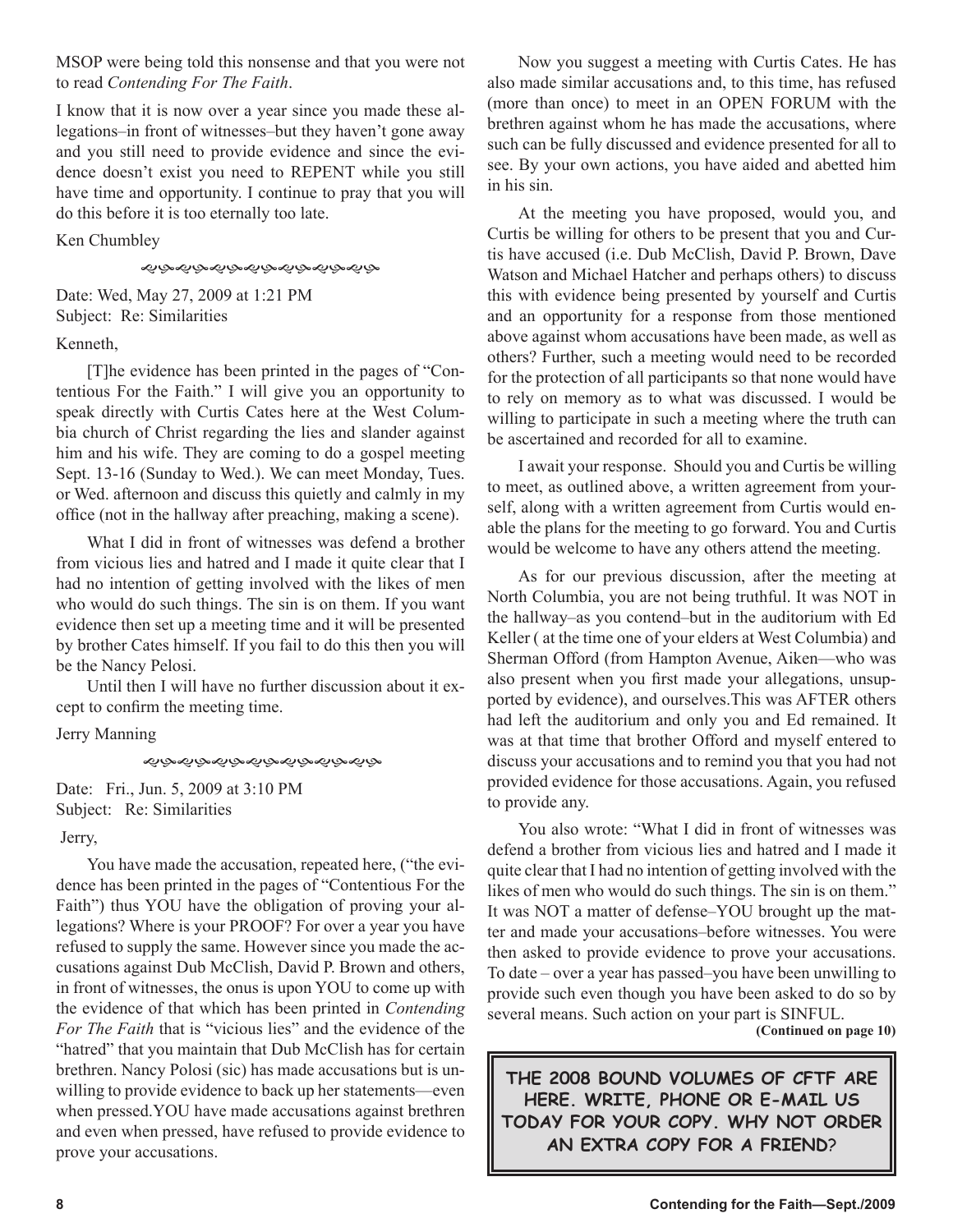MSOP were being told this nonsense and that you were not to read *Contending For The Faith*.

I know that it is now over a year since you made these allegations–in front of witnesses–but they haven't gone away and you still need to provide evidence and since the evidence doesn't exist you need to REPENT while you still have time and opportunity. I continue to pray that you will do this before it is too eternally too late.

Ken Chumbley

*෯෯෯෯෯෯෯෯෯෯෯෯* 

Date: Wed, May 27, 2009 at 1:21 PM Subject: Re: Similarities

## Kenneth,

[T]he evidence has been printed in the pages of "Contentious For the Faith." I will give you an opportunity to speak directly with Curtis Cates here at the West Columbia church of Christ regarding the lies and slander against him and his wife. They are coming to do a gospel meeting Sept. 13-16 (Sunday to Wed.). We can meet Monday, Tues. or Wed. afternoon and discuss this quietly and calmly in my office (not in the hallway after preaching, making a scene).

What I did in front of witnesses was defend a brother from vicious lies and hatred and I made it quite clear that I had no intention of getting involved with the likes of men who would do such things. The sin is on them. If you want evidence then set up a meeting time and it will be presented by brother Cates himself. If you fail to do this then you will be the Nancy Pelosi.

Until then I will have no further discussion about it except to confirm the meeting time.

Jerry Manning

そぶぐぶんぶんぷんぷんぷんぷ

Date: Fri., Jun. 5, 2009 at 3:10 PM Subject: Re: Similarities

Jerry,

You have made the accusation, repeated here, ("the evidence has been printed in the pages of "Contentious For the Faith") thus YOU have the obligation of proving your allegations? Where is your PROOF? For over a year you have refused to supply the same. However since you made the accusations against Dub McClish, David P. Brown and others, in front of witnesses, the onus is upon YOU to come up with the evidence of that which has been printed in *Contending For The Faith* that is "vicious lies" and the evidence of the "hatred" that you maintain that Dub McClish has for certain brethren. Nancy Polosi (sic) has made accusations but is unwilling to provide evidence to back up her statements—even when pressed.YOU have made accusations against brethren and even when pressed, have refused to provide evidence to prove your accusations.

Now you suggest a meeting with Curtis Cates. He has also made similar accusations and, to this time, has refused (more than once) to meet in an OPEN FORUM with the brethren against whom he has made the accusations, where such can be fully discussed and evidence presented for all to see. By your own actions, you have aided and abetted him in his sin.

At the meeting you have proposed, would you, and Curtis be willing for others to be present that you and Curtis have accused (i.e. Dub McClish, David P. Brown, Dave Watson and Michael Hatcher and perhaps others) to discuss this with evidence being presented by yourself and Curtis and an opportunity for a response from those mentioned above against whom accusations have been made, as well as others? Further, such a meeting would need to be recorded for the protection of all participants so that none would have to rely on memory as to what was discussed. I would be willing to participate in such a meeting where the truth can be ascertained and recorded for all to examine.

I await your response. Should you and Curtis be willing to meet, as outlined above, a written agreement from yourself, along with a written agreement from Curtis would enable the plans for the meeting to go forward. You and Curtis would be welcome to have any others attend the meeting.

As for our previous discussion, after the meeting at North Columbia, you are not being truthful. It was NOT in the hallway–as you contend–but in the auditorium with Ed Keller ( at the time one of your elders at West Columbia) and Sherman Offord (from Hampton Avenue, Aiken—who was also present when you first made your allegations, unsupported by evidence), and ourselves.This was AFTER others had left the auditorium and only you and Ed remained. It was at that time that brother Offord and myself entered to discuss your accusations and to remind you that you had not provided evidence for those accusations. Again, you refused to provide any.

You also wrote: "What I did in front of witnesses was defend a brother from vicious lies and hatred and I made it quite clear that I had no intention of getting involved with the likes of men who would do such things. The sin is on them." It was NOT a matter of defense–YOU brought up the matter and made your accusations–before witnesses. You were then asked to provide evidence to prove your accusations. To date – over a year has passed–you have been unwilling to provide such even though you have been asked to do so by several means. Such action on your part is SINFUL.

**(Continued on page 10)**

**THE 2008 BOUND VOLUMES OF CFTF ARE HERE. WRITE, PHONE OR E-MAIL US TODAY FOR YOUR COPY. WHY NOT ORDER AN EXTRA COPY FOR A FRIEND**?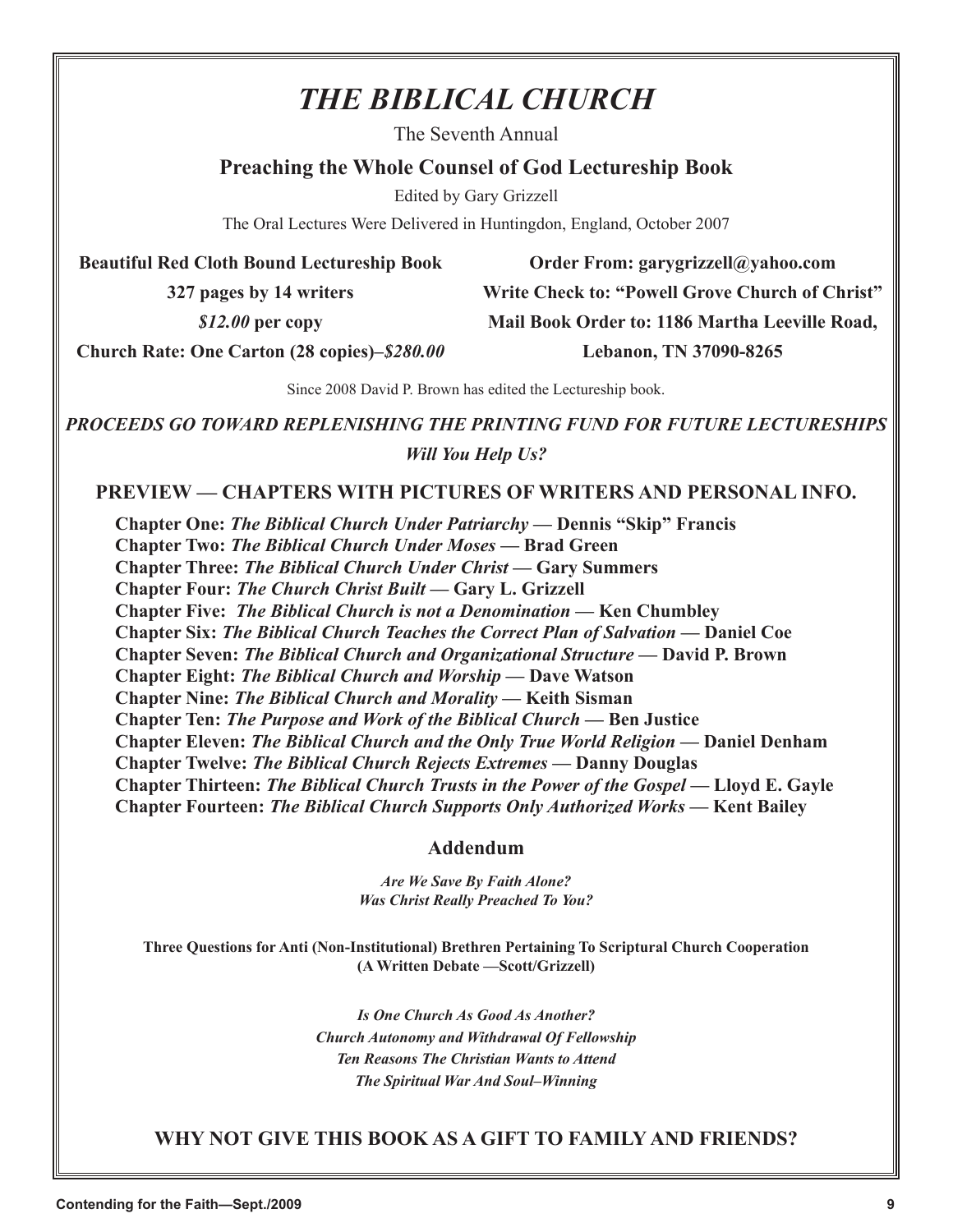# *THE BIBLICAL CHURCH*

The Seventh Annual

## **Preaching the Whole Counsel of God Lectureship Book**

Edited by Gary Grizzell

The Oral Lectures Were Delivered in Huntingdon, England, October 2007

**Beautiful Red Cloth Bound Lectureship Book** 

**327 pages by 14 writers**

*\$12.00* **per copy**

**Order From: garygrizzell@yahoo.com Write Check to: "Powell Grove Church of Christ" Mail Book Order to: 1186 Martha Leeville Road, Lebanon, TN 37090-8265**

**Church Rate: One Carton (28 copies)–***\$280.00*

Since 2008 David P. Brown has edited the Lectureship book.

*PROCEEDS GO TOWARD REPLENISHING THE PRINTING FUND FOR FUTURE LECTURESHIPS Will You Help Us?*

## **PREVIEW — CHAPTERS WITH PICTURES OF WRITERS AND PERSONAL INFO.**

**Chapter One:** *The Biblical Church Under Patriarchy* **— Dennis "Skip" Francis Chapter Two:** *The Biblical Church Under Moses* **— Brad Green Chapter Three:** *The Biblical Church Under Christ* **— Gary Summers Chapter Four:** *The Church Christ Built* **— Gary L. Grizzell Chapter Five:** *The Biblical Church is not a Denomination* **— Ken Chumbley Chapter Six:** *The Biblical Church Teaches the Correct Plan of Salvation* **— Daniel Coe Chapter Seven:** *The Biblical Church and Organizational Structure* **— David P. Brown Chapter Eight:** *The Biblical Church and Worship* **— Dave Watson Chapter Nine:** *The Biblical Church and Morality* **— Keith Sisman Chapter Ten:** *The Purpose and Work of the Biblical Church* **— Ben Justice Chapter Eleven:** *The Biblical Church and the Only True World Religion* **— Daniel Denham Chapter Twelve:** *The Biblical Church Rejects Extremes* **— Danny Douglas Chapter Thirteen:** *The Biblical Church Trusts in the Power of the Gospel* **— Lloyd E. Gayle Chapter Fourteen:** *The Biblical Church Supports Only Authorized Works* **— Kent Bailey**

## **Addendum**

*Are We Save By Faith Alone? Was Christ Really Preached To You?*

**Three Questions for Anti (Non-Institutional) Brethren Pertaining To Scriptural Church Cooperation (A Written Debate —Scott/Grizzell)**

> *Is One Church As Good As Another? Church Autonomy and Withdrawal Of Fellowship Ten Reasons The Christian Wants to Attend The Spiritual War And Soul–Winning*

**WHY NOT GIVE THIS BOOK AS A GIFT TO FAMILY AND FRIENDS?**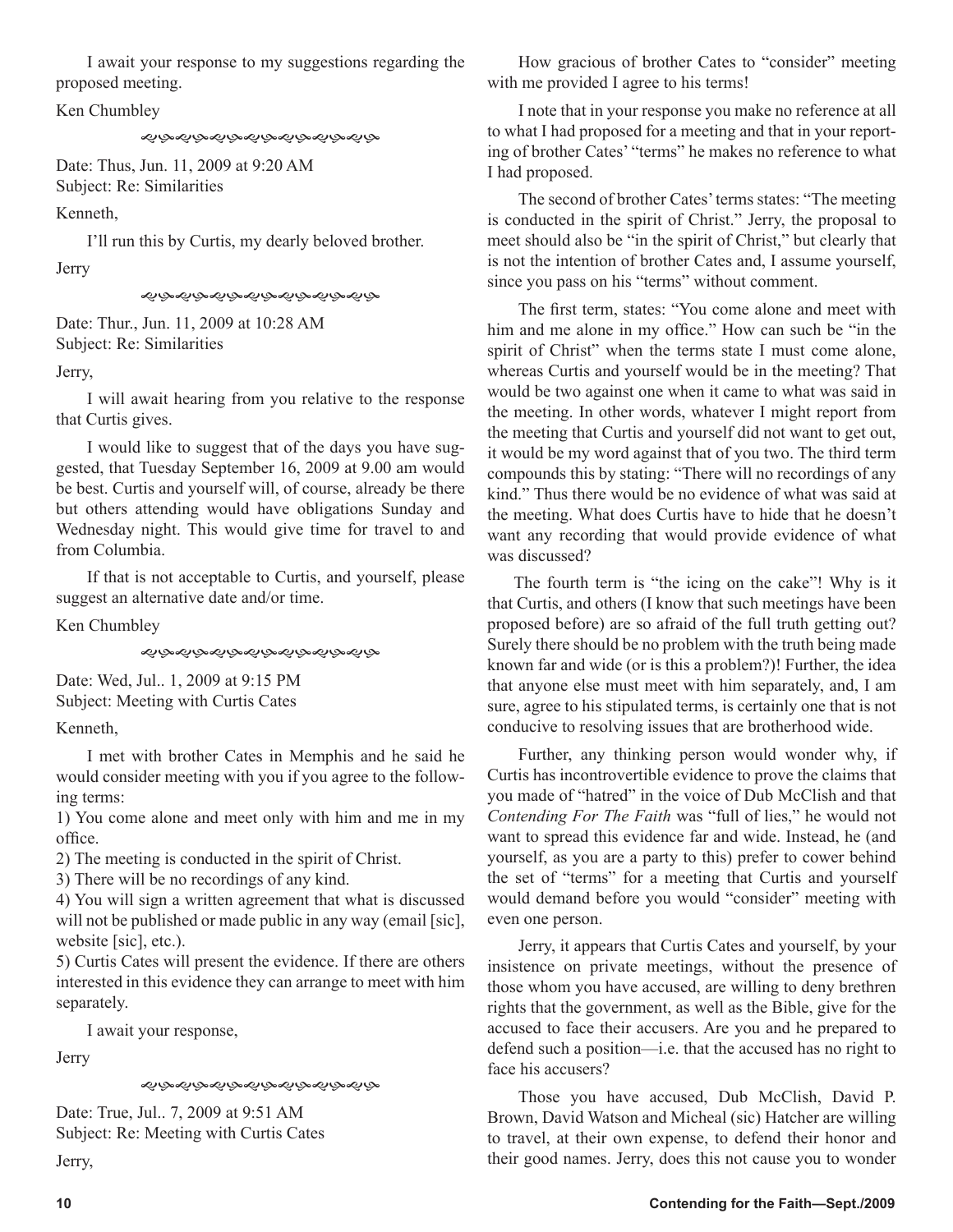I await your response to my suggestions regarding the proposed meeting.

Ken Chumbley

Date: Thus, Jun. 11, 2009 at 9:20 AM Subject: Re: Similarities

Kenneth,

I'll run this by Curtis, my dearly beloved brother.

**J**erry

ぐみぐみかんやんぞんふんみん

Date: Thur., Jun. 11, 2009 at 10:28 AM Subject: Re: Similarities

Jerry,

I will await hearing from you relative to the response that Curtis gives.

I would like to suggest that of the days you have suggested, that Tuesday September 16, 2009 at 9.00 am would be best. Curtis and yourself will, of course, already be there but others attending would have obligations Sunday and Wednesday night. This would give time for travel to and from Columbia.

If that is not acceptable to Curtis, and yourself, please suggest an alternative date and/or time.

Ken Chumbley

むみなみなみなみなみなみなみ

Date: Wed, Jul.. 1, 2009 at 9:15 PM Subject: Meeting with Curtis Cates

Kenneth,

I met with brother Cates in Memphis and he said he would consider meeting with you if you agree to the following terms:

1) You come alone and meet only with him and me in my office.

2) The meeting is conducted in the spirit of Christ.

3) There will be no recordings of any kind.

4) You will sign a written agreement that what is discussed will not be published or made public in any way (email [sic], website [sic], etc.).

5) Curtis Cates will present the evidence. If there are others interested in this evidence they can arrange to meet with him separately.

I await your response,

Jerry

*ৼ৾*ঢ়৾৵ড়৾৵ড়ড়ড়ড়ড়ড়ড়ড়ড়

Date: True, Jul.. 7, 2009 at 9:51 AM Subject: Re: Meeting with Curtis Cates

Jerry,

How gracious of brother Cates to "consider" meeting with me provided I agree to his terms!

I note that in your response you make no reference at all to what I had proposed for a meeting and that in your reporting of brother Cates' "terms" he makes no reference to what I had proposed.

The second of brother Cates' terms states: "The meeting is conducted in the spirit of Christ." Jerry, the proposal to meet should also be "in the spirit of Christ," but clearly that is not the intention of brother Cates and, I assume yourself, since you pass on his "terms" without comment.

The first term, states: "You come alone and meet with him and me alone in my office." How can such be "in the spirit of Christ" when the terms state I must come alone, whereas Curtis and yourself would be in the meeting? That would be two against one when it came to what was said in the meeting. In other words, whatever I might report from the meeting that Curtis and yourself did not want to get out, it would be my word against that of you two. The third term compounds this by stating: "There will no recordings of any kind." Thus there would be no evidence of what was said at the meeting. What does Curtis have to hide that he doesn't want any recording that would provide evidence of what was discussed?

The fourth term is "the icing on the cake"! Why is it that Curtis, and others (I know that such meetings have been proposed before) are so afraid of the full truth getting out? Surely there should be no problem with the truth being made known far and wide (or is this a problem?)! Further, the idea that anyone else must meet with him separately, and, I am sure, agree to his stipulated terms, is certainly one that is not conducive to resolving issues that are brotherhood wide.

Further, any thinking person would wonder why, if Curtis has incontrovertible evidence to prove the claims that you made of "hatred" in the voice of Dub McClish and that *Contending For The Faith* was "full of lies," he would not want to spread this evidence far and wide. Instead, he (and yourself, as you are a party to this) prefer to cower behind the set of "terms" for a meeting that Curtis and yourself would demand before you would "consider" meeting with even one person.

Jerry, it appears that Curtis Cates and yourself, by your insistence on private meetings, without the presence of those whom you have accused, are willing to deny brethren rights that the government, as well as the Bible, give for the accused to face their accusers. Are you and he prepared to defend such a position—i.e. that the accused has no right to face his accusers?

Those you have accused, Dub McClish, David P. Brown, David Watson and Micheal (sic) Hatcher are willing to travel, at their own expense, to defend their honor and their good names. Jerry, does this not cause you to wonder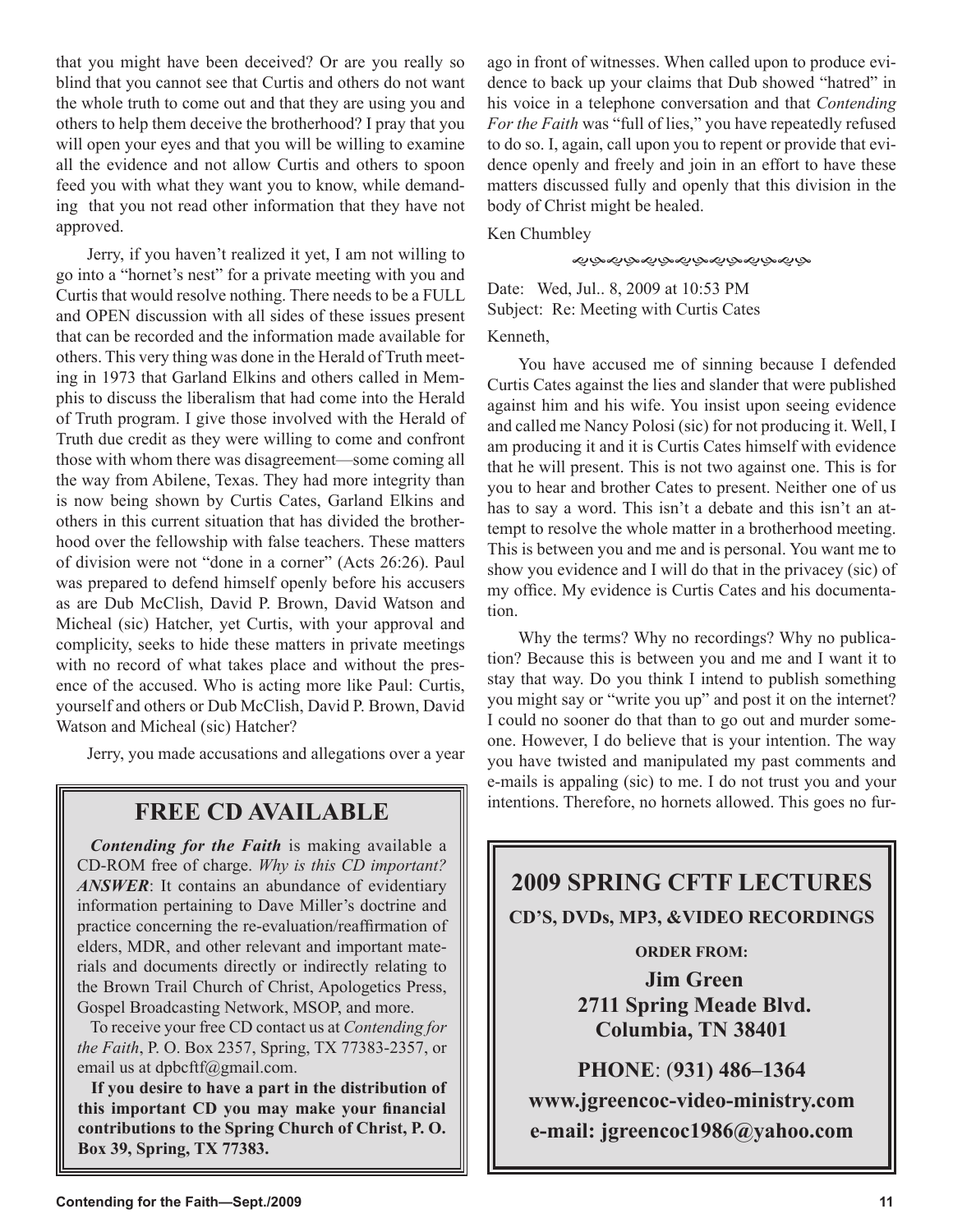that you might have been deceived? Or are you really so blind that you cannot see that Curtis and others do not want the whole truth to come out and that they are using you and others to help them deceive the brotherhood? I pray that you will open your eyes and that you will be willing to examine all the evidence and not allow Curtis and others to spoon feed you with what they want you to know, while demanding that you not read other information that they have not approved.

Jerry, if you haven't realized it yet, I am not willing to go into a "hornet's nest" for a private meeting with you and Curtis that would resolve nothing. There needs to be a FULL and OPEN discussion with all sides of these issues present that can be recorded and the information made available for others. This very thing was done in the Herald of Truth meeting in 1973 that Garland Elkins and others called in Memphis to discuss the liberalism that had come into the Herald of Truth program. I give those involved with the Herald of Truth due credit as they were willing to come and confront those with whom there was disagreement—some coming all the way from Abilene, Texas. They had more integrity than is now being shown by Curtis Cates, Garland Elkins and others in this current situation that has divided the brotherhood over the fellowship with false teachers. These matters of division were not "done in a corner" (Acts 26:26). Paul was prepared to defend himself openly before his accusers as are Dub McClish, David P. Brown, David Watson and Micheal (sic) Hatcher, yet Curtis, with your approval and complicity, seeks to hide these matters in private meetings with no record of what takes place and without the presence of the accused. Who is acting more like Paul: Curtis, yourself and others or Dub McClish, David P. Brown, David Watson and Micheal (sic) Hatcher?

Jerry, you made accusations and allegations over a year

## **FREE CD AVAILABLE**

*Contending for the Faith* is making available a CD-ROM free of charge. *Why is this CD important? ANSWER*: It contains an abundance of evidentiary information pertaining to Dave Miller's doctrine and practice concerning the re-evaluation/reaffirmation of elders, MDR, and other relevant and important materials and documents directly or indirectly relating to the Brown Trail Church of Christ, Apologetics Press, Gospel Broadcasting Network, MSOP, and more.

To receive your free CD contact us at *Contending for the Faith*, P. O. Box 2357, Spring, TX 77383-2357, or email us at dpbcftf@gmail.com.

**If you desire to have a part in the distribution of this important CD you may make your financial contributions to the Spring Church of Christ, P. O. Box 39, Spring, TX 77383.**

ago in front of witnesses. When called upon to produce evidence to back up your claims that Dub showed "hatred" in his voice in a telephone conversation and that *Contending For the Faith* was "full of lies," you have repeatedly refused to do so. I, again, call upon you to repent or provide that evidence openly and freely and join in an effort to have these matters discussed fully and openly that this division in the body of Christ might be healed.

Ken Chumbley

ぐぶぐぶんぷんぷんぷんぷんぷ

Date: Wed, Jul.. 8, 2009 at 10:53 PM Subject: Re: Meeting with Curtis Cates Kenneth,

You have accused me of sinning because I defended Curtis Cates against the lies and slander that were published against him and his wife. You insist upon seeing evidence and called me Nancy Polosi (sic) for not producing it. Well, I am producing it and it is Curtis Cates himself with evidence that he will present. This is not two against one. This is for you to hear and brother Cates to present. Neither one of us has to say a word. This isn't a debate and this isn't an attempt to resolve the whole matter in a brotherhood meeting. This is between you and me and is personal. You want me to show you evidence and I will do that in the privacey (sic) of my office. My evidence is Curtis Cates and his documentation.

Why the terms? Why no recordings? Why no publication? Because this is between you and me and I want it to stay that way. Do you think I intend to publish something you might say or "write you up" and post it on the internet? I could no sooner do that than to go out and murder someone. However, I do believe that is your intention. The way you have twisted and manipulated my past comments and e-mails is appaling (sic) to me. I do not trust you and your intentions. Therefore, no hornets allowed. This goes no fur-

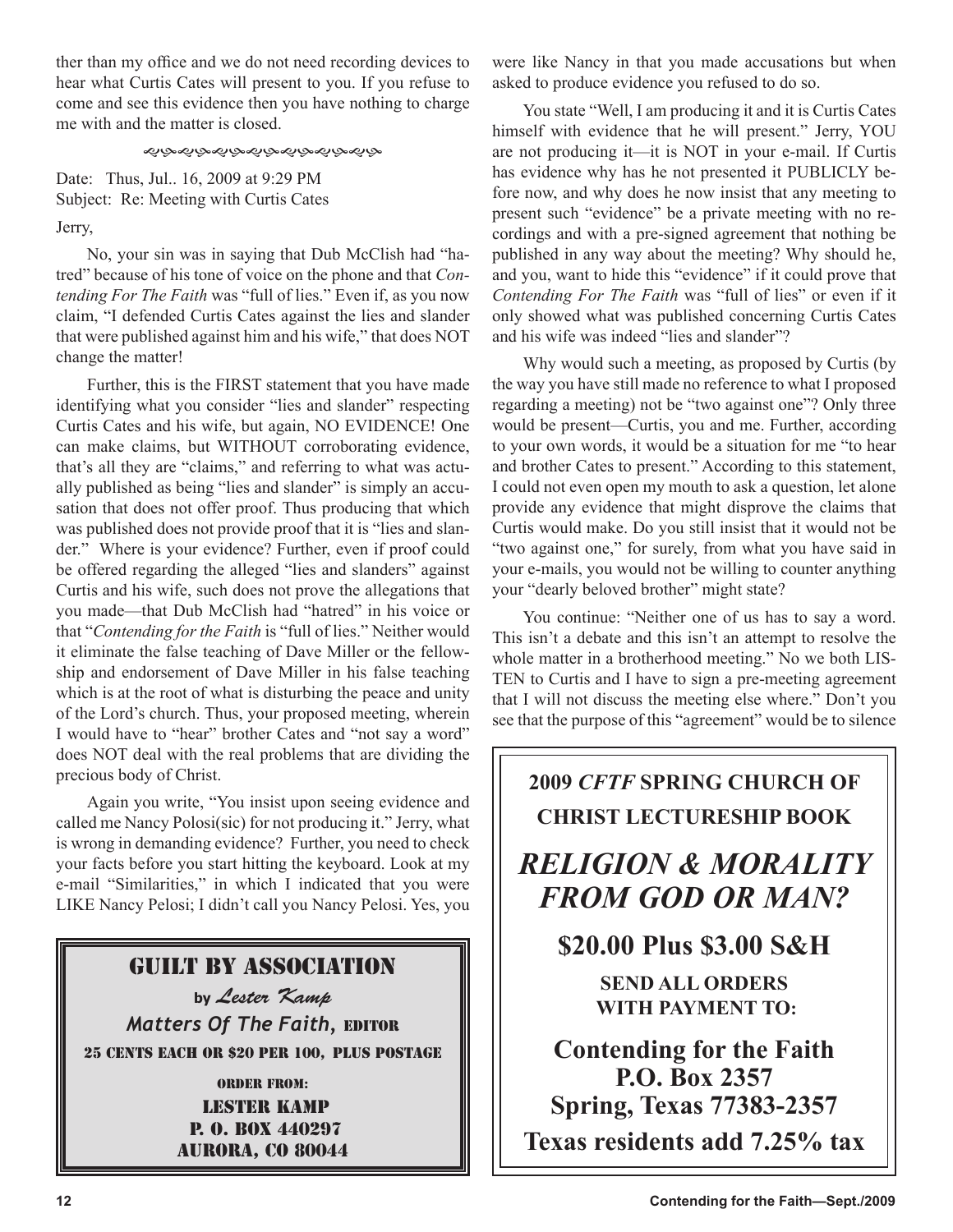ther than my office and we do not need recording devices to hear what Curtis Cates will present to you. If you refuse to come and see this evidence then you have nothing to charge me with and the matter is closed.

### *෯෯෯෯෯෯෯෯෯෯෯෯*

Date: Thus, Jul.. 16, 2009 at 9:29 PM Subject: Re: Meeting with Curtis Cates Jerry,

No, your sin was in saying that Dub McClish had "hatred" because of his tone of voice on the phone and that *Contending For The Faith* was "full of lies." Even if, as you now claim, "I defended Curtis Cates against the lies and slander that were published against him and his wife," that does NOT change the matter!

Further, this is the FIRST statement that you have made identifying what you consider "lies and slander" respecting Curtis Cates and his wife, but again, NO EVIDENCE! One can make claims, but WITHOUT corroborating evidence, that's all they are "claims," and referring to what was actually published as being "lies and slander" is simply an accusation that does not offer proof. Thus producing that which was published does not provide proof that it is "lies and slander." Where is your evidence? Further, even if proof could be offered regarding the alleged "lies and slanders" against Curtis and his wife, such does not prove the allegations that you made—that Dub McClish had "hatred" in his voice or that "*Contending for the Faith* is "full of lies." Neither would it eliminate the false teaching of Dave Miller or the fellowship and endorsement of Dave Miller in his false teaching which is at the root of what is disturbing the peace and unity of the Lord's church. Thus, your proposed meeting, wherein I would have to "hear" brother Cates and "not say a word" does NOT deal with the real problems that are dividing the precious body of Christ.

Again you write, "You insist upon seeing evidence and called me Nancy Polosi(sic) for not producing it." Jerry, what is wrong in demanding evidence? Further, you need to check your facts before you start hitting the keyboard. Look at my e-mail "Similarities," in which I indicated that you were LIKE Nancy Pelosi; I didn't call you Nancy Pelosi. Yes, you

## Guilt By Association

**by** Lester Kamp *Matters Of The Faith,* EDITOR 25 CENTS EACH OR \$20 PER 100, PLUS POSTAGE

> Order from: Lester Kamp P. O. Box 440297 aurora, co 80044

were like Nancy in that you made accusations but when asked to produce evidence you refused to do so.

You state "Well, I am producing it and it is Curtis Cates himself with evidence that he will present." Jerry, YOU are not producing it—it is NOT in your e-mail. If Curtis has evidence why has he not presented it PUBLICLY before now, and why does he now insist that any meeting to present such "evidence" be a private meeting with no recordings and with a pre-signed agreement that nothing be published in any way about the meeting? Why should he, and you, want to hide this "evidence" if it could prove that *Contending For The Faith* was "full of lies" or even if it only showed what was published concerning Curtis Cates and his wife was indeed "lies and slander"?

Why would such a meeting, as proposed by Curtis (by the way you have still made no reference to what I proposed regarding a meeting) not be "two against one"? Only three would be present—Curtis, you and me. Further, according to your own words, it would be a situation for me "to hear and brother Cates to present." According to this statement, I could not even open my mouth to ask a question, let alone provide any evidence that might disprove the claims that Curtis would make. Do you still insist that it would not be "two against one," for surely, from what you have said in your e-mails, you would not be willing to counter anything your "dearly beloved brother" might state?

You continue: "Neither one of us has to say a word. This isn't a debate and this isn't an attempt to resolve the whole matter in a brotherhood meeting." No we both LIS-TEN to Curtis and I have to sign a pre-meeting agreement that I will not discuss the meeting else where." Don't you see that the purpose of this "agreement" would be to silence

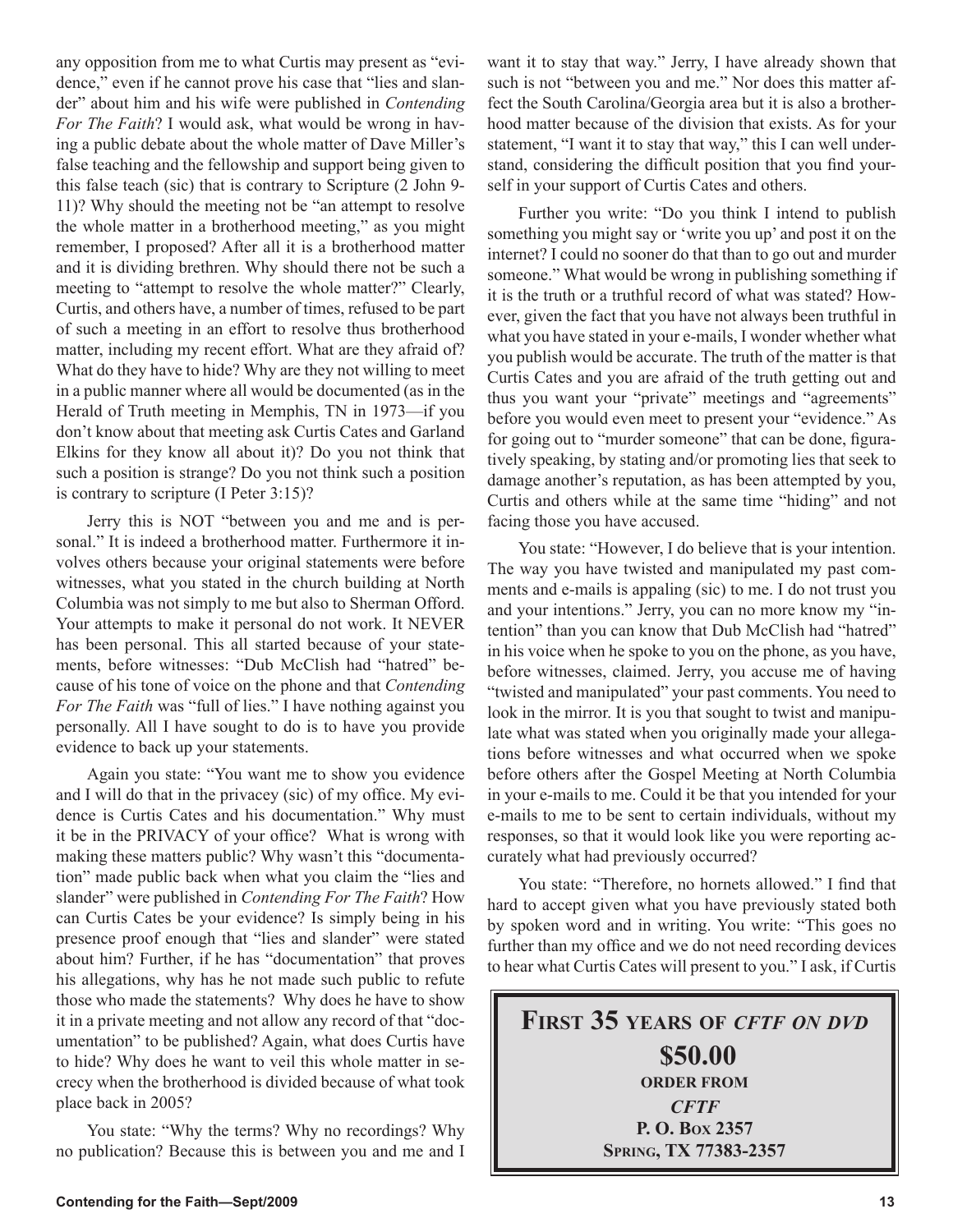any opposition from me to what Curtis may present as "evidence," even if he cannot prove his case that "lies and slander" about him and his wife were published in *Contending For The Faith*? I would ask, what would be wrong in having a public debate about the whole matter of Dave Miller's false teaching and the fellowship and support being given to this false teach (sic) that is contrary to Scripture (2 John 9- 11)? Why should the meeting not be "an attempt to resolve the whole matter in a brotherhood meeting," as you might remember, I proposed? After all it is a brotherhood matter and it is dividing brethren. Why should there not be such a meeting to "attempt to resolve the whole matter?" Clearly, Curtis, and others have, a number of times, refused to be part of such a meeting in an effort to resolve thus brotherhood matter, including my recent effort. What are they afraid of? What do they have to hide? Why are they not willing to meet in a public manner where all would be documented (as in the Herald of Truth meeting in Memphis, TN in 1973—if you don't know about that meeting ask Curtis Cates and Garland Elkins for they know all about it)? Do you not think that such a position is strange? Do you not think such a position is contrary to scripture (I Peter 3:15)?

Jerry this is NOT "between you and me and is personal." It is indeed a brotherhood matter. Furthermore it involves others because your original statements were before witnesses, what you stated in the church building at North Columbia was not simply to me but also to Sherman Offord. Your attempts to make it personal do not work. It NEVER has been personal. This all started because of your statements, before witnesses: "Dub McClish had "hatred" because of his tone of voice on the phone and that *Contending For The Faith* was "full of lies." I have nothing against you personally. All I have sought to do is to have you provide evidence to back up your statements.

Again you state: "You want me to show you evidence and I will do that in the privacey (sic) of my office. My evidence is Curtis Cates and his documentation." Why must it be in the PRIVACY of your office? What is wrong with making these matters public? Why wasn't this "documentation" made public back when what you claim the "lies and slander" were published in *Contending For The Faith*? How can Curtis Cates be your evidence? Is simply being in his presence proof enough that "lies and slander" were stated about him? Further, if he has "documentation" that proves his allegations, why has he not made such public to refute those who made the statements? Why does he have to show it in a private meeting and not allow any record of that "documentation" to be published? Again, what does Curtis have to hide? Why does he want to veil this whole matter in secrecy when the brotherhood is divided because of what took place back in 2005?

You state: "Why the terms? Why no recordings? Why no publication? Because this is between you and me and I want it to stay that way." Jerry, I have already shown that such is not "between you and me." Nor does this matter affect the South Carolina/Georgia area but it is also a brotherhood matter because of the division that exists. As for your statement, "I want it to stay that way," this I can well understand, considering the difficult position that you find yourself in your support of Curtis Cates and others.

Further you write: "Do you think I intend to publish something you might say or 'write you up' and post it on the internet? I could no sooner do that than to go out and murder someone." What would be wrong in publishing something if it is the truth or a truthful record of what was stated? However, given the fact that you have not always been truthful in what you have stated in your e-mails, I wonder whether what you publish would be accurate. The truth of the matter is that Curtis Cates and you are afraid of the truth getting out and thus you want your "private" meetings and "agreements" before you would even meet to present your "evidence." As for going out to "murder someone" that can be done, figuratively speaking, by stating and/or promoting lies that seek to damage another's reputation, as has been attempted by you, Curtis and others while at the same time "hiding" and not facing those you have accused.

You state: "However, I do believe that is your intention. The way you have twisted and manipulated my past comments and e-mails is appaling (sic) to me. I do not trust you and your intentions." Jerry, you can no more know my "intention" than you can know that Dub McClish had "hatred" in his voice when he spoke to you on the phone, as you have, before witnesses, claimed. Jerry, you accuse me of having "twisted and manipulated" your past comments. You need to look in the mirror. It is you that sought to twist and manipulate what was stated when you originally made your allegations before witnesses and what occurred when we spoke before others after the Gospel Meeting at North Columbia in your e-mails to me. Could it be that you intended for your e-mails to me to be sent to certain individuals, without my responses, so that it would look like you were reporting accurately what had previously occurred?

You state: "Therefore, no hornets allowed." I find that hard to accept given what you have previously stated both by spoken word and in writing. You write: "This goes no further than my office and we do not need recording devices to hear what Curtis Cates will present to you." I ask, if Curtis

**FIRST 35 YEARS OF** *CFTF ON DVD* **\$50.00 ORDER FROM** *CFTF* **P. O. BOX 2357 SPRING, TX 77383-2357**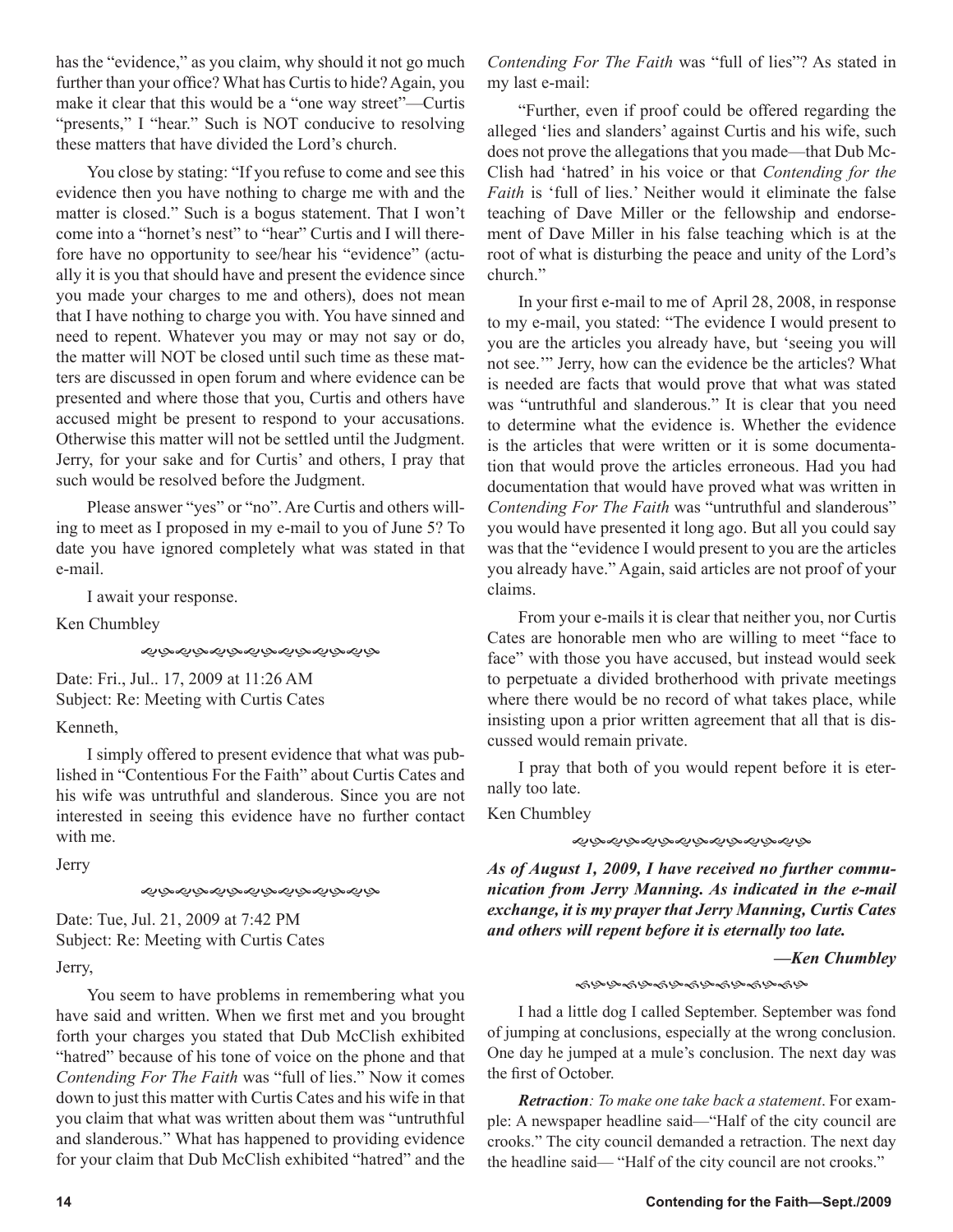has the "evidence," as you claim, why should it not go much further than your office? What has Curtis to hide? Again, you make it clear that this would be a "one way street"—Curtis "presents," I "hear." Such is NOT conducive to resolving these matters that have divided the Lord's church.

You close by stating: "If you refuse to come and see this evidence then you have nothing to charge me with and the matter is closed." Such is a bogus statement. That I won't come into a "hornet's nest" to "hear" Curtis and I will therefore have no opportunity to see/hear his "evidence" (actually it is you that should have and present the evidence since you made your charges to me and others), does not mean that I have nothing to charge you with. You have sinned and need to repent. Whatever you may or may not say or do, the matter will NOT be closed until such time as these matters are discussed in open forum and where evidence can be presented and where those that you, Curtis and others have accused might be present to respond to your accusations. Otherwise this matter will not be settled until the Judgment. Jerry, for your sake and for Curtis' and others, I pray that such would be resolved before the Judgment.

Please answer "yes" or "no". Are Curtis and others willing to meet as I proposed in my e-mail to you of June 5? To date you have ignored completely what was stated in that e-mail.

I await your response.

Ken Chumbley

*෯෯෯෯෯෯෯෯෯෯෯෯* 

Date: Fri., Jul.. 17, 2009 at 11:26 AM Subject: Re: Meeting with Curtis Cates

## Kenneth,

I simply offered to present evidence that what was published in "Contentious For the Faith" about Curtis Cates and his wife was untruthful and slanderous. Since you are not interested in seeing this evidence have no further contact with me.

Jerry

*ৼ৾*ঢ়৵ড়৾৵ড়৾৸ড়ড়ড়ড়ড়ড়ড়

Date: Tue, Jul. 21, 2009 at 7:42 PM Subject: Re: Meeting with Curtis Cates Jerry,

You seem to have problems in remembering what you have said and written. When we first met and you brought forth your charges you stated that Dub McClish exhibited "hatred" because of his tone of voice on the phone and that *Contending For The Faith* was "full of lies." Now it comes down to just this matter with Curtis Cates and his wife in that you claim that what was written about them was "untruthful and slanderous." What has happened to providing evidence for your claim that Dub McClish exhibited "hatred" and the *Contending For The Faith* was "full of lies"? As stated in my last e-mail:

"Further, even if proof could be offered regarding the alleged 'lies and slanders' against Curtis and his wife, such does not prove the allegations that you made—that Dub Mc-Clish had 'hatred' in his voice or that *Contending for the Faith* is 'full of lies.' Neither would it eliminate the false teaching of Dave Miller or the fellowship and endorsement of Dave Miller in his false teaching which is at the root of what is disturbing the peace and unity of the Lord's church."

In your first e-mail to me of April 28, 2008, in response to my e-mail, you stated: "The evidence I would present to you are the articles you already have, but 'seeing you will not see.'" Jerry, how can the evidence be the articles? What is needed are facts that would prove that what was stated was "untruthful and slanderous." It is clear that you need to determine what the evidence is. Whether the evidence is the articles that were written or it is some documentation that would prove the articles erroneous. Had you had documentation that would have proved what was written in *Contending For The Faith* was "untruthful and slanderous" you would have presented it long ago. But all you could say was that the "evidence I would present to you are the articles you already have." Again, said articles are not proof of your claims.

From your e-mails it is clear that neither you, nor Curtis Cates are honorable men who are willing to meet "face to face" with those you have accused, but instead would seek to perpetuate a divided brotherhood with private meetings where there would be no record of what takes place, while insisting upon a prior written agreement that all that is discussed would remain private.

I pray that both of you would repent before it is eternally too late.

Ken Chumbley

そぶぐぶんぷんぷんぷんぷんぷ

*As of August 1, 2009, I have received no further communication from Jerry Manning. As indicated in the e-mail exchange, it is my prayer that Jerry Manning, Curtis Cates and others will repent before it is eternally too late.*

*—Ken Chumbley*

### ৼঀড়ড়৽ড়ঀড়৽ড়৽ড়৽ড়৽ড়৽ড়৽ড়ঢ়ড়

I had a little dog I called September. September was fond of jumping at conclusions, especially at the wrong conclusion. One day he jumped at a mule's conclusion. The next day was the first of October.

*Retraction: To make one take back a statement*. For example: A newspaper headline said—"Half of the city council are crooks." The city council demanded a retraction. The next day the headline said— "Half of the city council are not crooks."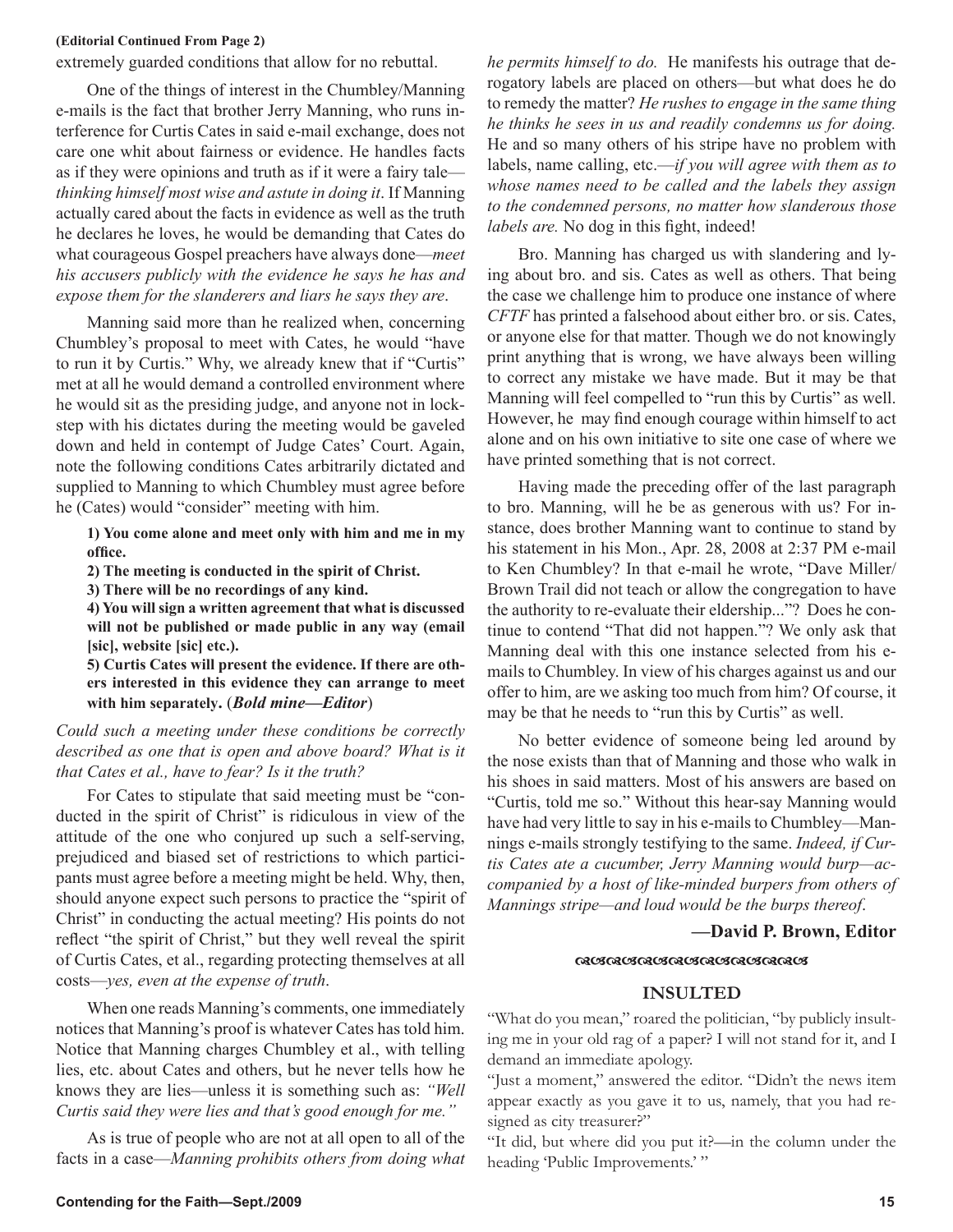### **(Editorial Continued From Page 2)**

extremely guarded conditions that allow for no rebuttal.

One of the things of interest in the Chumbley/Manning e-mails is the fact that brother Jerry Manning, who runs interference for Curtis Cates in said e-mail exchange, does not care one whit about fairness or evidence. He handles facts as if they were opinions and truth as if it were a fairy tale *thinking himself most wise and astute in doing it*. If Manning actually cared about the facts in evidence as well as the truth he declares he loves, he would be demanding that Cates do what courageous Gospel preachers have always done—*meet his accusers publicly with the evidence he says he has and expose them for the slanderers and liars he says they are*.

Manning said more than he realized when, concerning Chumbley's proposal to meet with Cates, he would "have to run it by Curtis." Why, we already knew that if "Curtis" met at all he would demand a controlled environment where he would sit as the presiding judge, and anyone not in lockstep with his dictates during the meeting would be gaveled down and held in contempt of Judge Cates' Court. Again, note the following conditions Cates arbitrarily dictated and supplied to Manning to which Chumbley must agree before he (Cates) would "consider" meeting with him.

**1) You come alone and meet only with him and me in my office.**

**2) The meeting is conducted in the spirit of Christ.**

**3) There will be no recordings of any kind.**

**4) You will sign a written agreement that what is discussed will not be published or made public in any way (email [sic], website [sic] etc.).**

**5) Curtis Cates will present the evidence. If there are others interested in this evidence they can arrange to meet with him separately.** (*Bold mine—Editor*)

*Could such a meeting under these conditions be correctly*  described as one that is open and above board? What is it *that Cates et al., have to fear? Is it the truth?*

For Cates to stipulate that said meeting must be "conducted in the spirit of Christ" is ridiculous in view of the attitude of the one who conjured up such a self-serving, prejudiced and biased set of restrictions to which participants must agree before a meeting might be held. Why, then, should anyone expect such persons to practice the "spirit of Christ" in conducting the actual meeting? His points do not reflect "the spirit of Christ," but they well reveal the spirit of Curtis Cates, et al., regarding protecting themselves at all costs—*yes, even at the expense of truth*.

When one reads Manning's comments, one immediately notices that Manning's proof is whatever Cates has told him. Notice that Manning charges Chumbley et al., with telling lies, etc. about Cates and others, but he never tells how he knows they are lies—unless it is something such as: *"Well Curtis said they were lies and that's good enough for me."*

As is true of people who are not at all open to all of the facts in a case—*Manning prohibits others from doing what* 

to remedy the matter? *He rushes to engage in the same thing he thinks he sees in us and readily condemns us for doing.* He and so many others of his stripe have no problem with labels, name calling, etc.—*if you will agree with them as to whose names need to be called and the labels they assign to the condemned persons, no matter how slanderous those labels are.* No dog in this fight, indeed! Bro. Manning has charged us with slandering and ly-

ing about bro. and sis. Cates as well as others. That being the case we challenge him to produce one instance of where *CFTF* has printed a falsehood about either bro. or sis. Cates, or anyone else for that matter. Though we do not knowingly print anything that is wrong, we have always been willing to correct any mistake we have made. But it may be that Manning will feel compelled to "run this by Curtis" as well. However, he may find enough courage within himself to act alone and on his own initiative to site one case of where we have printed something that is not correct.

*he permits himself to do.* He manifests his outrage that derogatory labels are placed on others—but what does he do

Having made the preceding offer of the last paragraph to bro. Manning, will he be as generous with us? For instance, does brother Manning want to continue to stand by his statement in his Mon., Apr. 28, 2008 at 2:37 PM e-mail to Ken Chumbley? In that e-mail he wrote, "Dave Miller/ Brown Trail did not teach or allow the congregation to have the authority to re-evaluate their eldership..."? Does he continue to contend "That did not happen."? We only ask that Manning deal with this one instance selected from his emails to Chumbley. In view of his charges against us and our offer to him, are we asking too much from him? Of course, it may be that he needs to "run this by Curtis" as well.

No better evidence of someone being led around by the nose exists than that of Manning and those who walk in his shoes in said matters. Most of his answers are based on "Curtis, told me so." Without this hear-say Manning would have had very little to say in his e-mails to Chumbley—Mannings e-mails strongly testifying to the same. *Indeed, if Curtis Cates ate a cucumber, Jerry Manning would burp—accompanied by a host of like-minded burpers from others of Mannings stripe—and loud would be the burps thereof*.

### **—David P. Brown, Editor**

### **REBRESRESRESRESRESRRES**

### **INSULTED**

"What do you mean," roared the politician, "by publicly insulting me in your old rag of a paper? I will not stand for it, and I demand an immediate apology.

"Just a moment," answered the editor. "Didn't the news item appear exactly as you gave it to us, namely, that you had resigned as city treasurer?"

"It did, but where did you put it?—in the column under the heading 'Public Improvements.' "